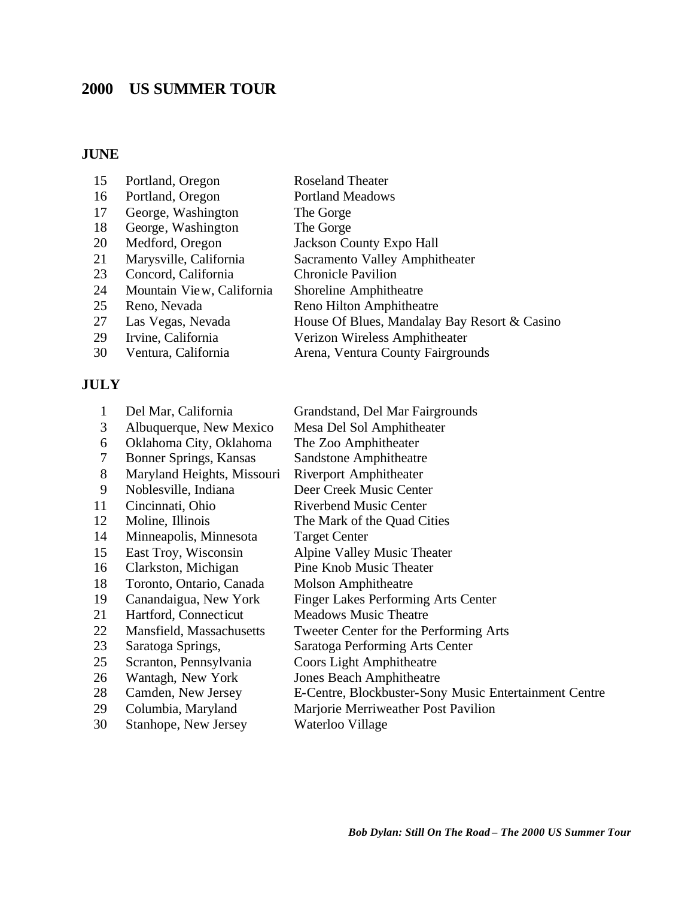# **US SUMMER TOUR**

### **JUNE**

| 15 | Portland, Oregon          | <b>Roseland Theater</b>                      |
|----|---------------------------|----------------------------------------------|
| 16 | Portland, Oregon          | <b>Portland Meadows</b>                      |
| 17 | George, Washington        | The Gorge                                    |
| 18 | George, Washington        | The Gorge                                    |
| 20 | Medford, Oregon           | <b>Jackson County Expo Hall</b>              |
| 21 | Marysville, California    | Sacramento Valley Amphitheater               |
| 23 | Concord, California       | <b>Chronicle Pavilion</b>                    |
| 24 | Mountain View, California | Shoreline Amphitheatre                       |
| 25 | Reno, Nevada              | Reno Hilton Amphitheatre                     |
| 27 | Las Vegas, Nevada         | House Of Blues, Mandalay Bay Resort & Casino |
| 29 | Irvine, California        | Verizon Wireless Amphitheater                |
| 30 | Ventura, California       | Arena, Ventura County Fairgrounds            |
|    |                           |                                              |

#### **JULY**

| 1  | Del Mar, California        | Grandstand, Del Mar Fairgrounds                       |
|----|----------------------------|-------------------------------------------------------|
| 3  | Albuquerque, New Mexico    | Mesa Del Sol Amphitheater                             |
| 6  | Oklahoma City, Oklahoma    | The Zoo Amphitheater                                  |
| 7  | Bonner Springs, Kansas     | <b>Sandstone Amphitheatre</b>                         |
| 8  | Maryland Heights, Missouri | <b>Riverport Amphitheater</b>                         |
| 9  | Noblesville, Indiana       | Deer Creek Music Center                               |
| 11 | Cincinnati, Ohio           | <b>Riverbend Music Center</b>                         |
| 12 | Moline, Illinois           | The Mark of the Quad Cities                           |
| 14 | Minneapolis, Minnesota     | <b>Target Center</b>                                  |
| 15 | East Troy, Wisconsin       | Alpine Valley Music Theater                           |
| 16 | Clarkston, Michigan        | Pine Knob Music Theater                               |
| 18 | Toronto, Ontario, Canada   | <b>Molson Amphitheatre</b>                            |
| 19 | Canandaigua, New York      | <b>Finger Lakes Performing Arts Center</b>            |
| 21 | Hartford, Connecticut      | <b>Meadows Music Theatre</b>                          |
| 22 | Mansfield, Massachusetts   | Tweeter Center for the Performing Arts                |
| 23 | Saratoga Springs,          | Saratoga Performing Arts Center                       |
| 25 | Scranton, Pennsylvania     | <b>Coors Light Amphitheatre</b>                       |
| 26 | Wantagh, New York          | <b>Jones Beach Amphitheatre</b>                       |
| 28 | Camden, New Jersey         | E-Centre, Blockbuster-Sony Music Entertainment Centre |
| 29 | Columbia, Maryland         | Marjorie Merriweather Post Pavilion                   |
| 30 | Stanhope, New Jersey       | Waterloo Village                                      |
|    |                            |                                                       |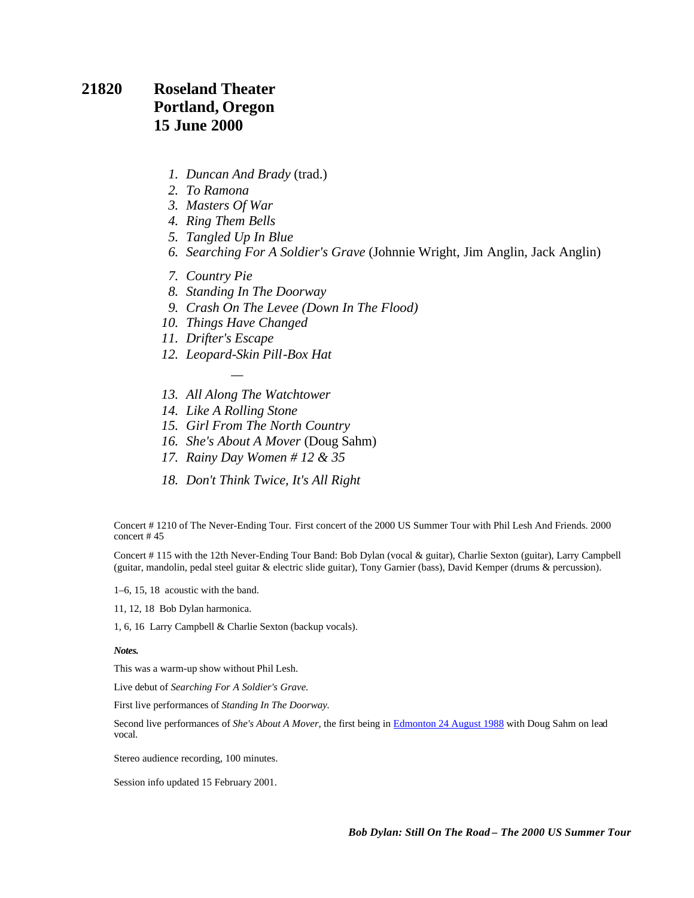#### **21820 Roseland Theater Portland, Oregon 15 June 2000**

- *1. Duncan And Brady* (trad.)
- *2. To Ramona*
- *3. Masters Of War*
- *4. Ring Them Bells*
- *5. Tangled Up In Blue*
- *6. Searching For A Soldier's Grave* (Johnnie Wright, Jim Anglin, Jack Anglin)
- *7. Country Pie*
- *8. Standing In The Doorway*
- *9. Crash On The Levee (Down In The Flood)*
- *10. Things Have Changed*

*—*

- *11. Drifter's Escape*
- *12. Leopard-Skin Pill-Box Hat*
- *13. All Along The Watchtower*
- *14. Like A Rolling Stone*
- *15. Girl From The North Country*
- *16. She's About A Mover* (Doug Sahm)
- *17. Rainy Day Women # 12 & 35*
- *18. Don't Think Twice, It's All Right*

Concert # 1210 of The Never-Ending Tour. First concert of the 2000 US Summer Tour with Phil Lesh And Friends. 2000 concert # 45

Concert # 115 with the 12th Never-Ending Tour Band: Bob Dylan (vocal & guitar), Charlie Sexton (guitar), Larry Campbell (guitar, mandolin, pedal steel guitar & electric slide guitar), Tony Garnier (bass), David Kemper (drums & percussion).

1–6, 15, 18 acoustic with the band.

11, 12, 18 Bob Dylan harmonica.

1, 6, 16 Larry Campbell & Charlie Sexton (backup vocals).

#### *Notes.*

This was a warm-up show without Phil Lesh.

Live debut of *Searching For A Soldier's Grave.*

First live performances of *Standing In The Doorway.*

Second live performances of *She's About A Mover,* the first being in Edmonton 24 August 1988 with Doug Sahm on lead vocal.

Stereo audience recording, 100 minutes.

Session info updated 15 February 2001.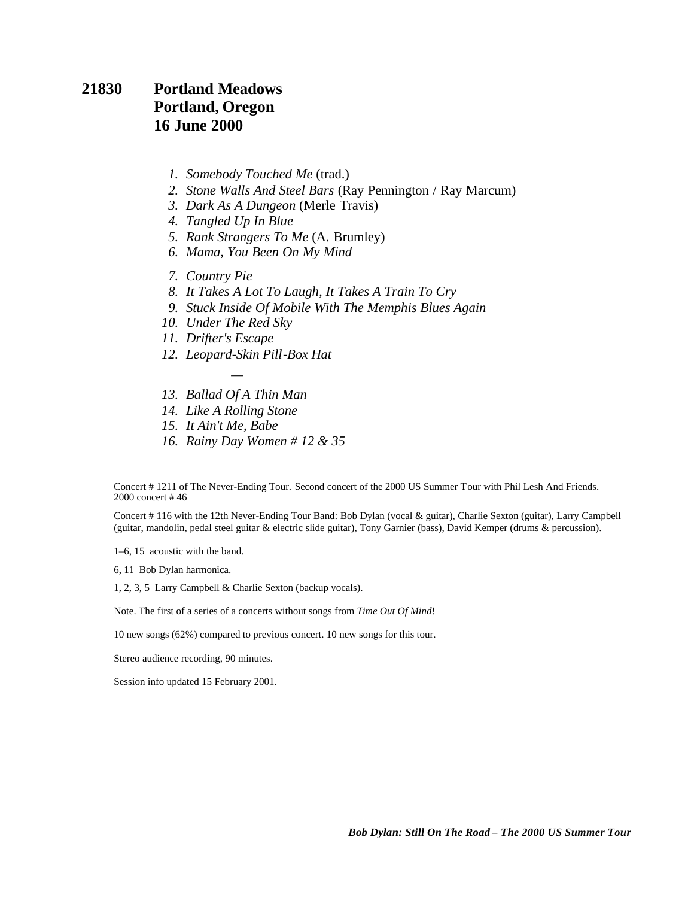#### **21830 Portland Meadows Portland, Oregon 16 June 2000**

- *1. Somebody Touched Me* (trad.)
- *2. Stone Walls And Steel Bars* (Ray Pennington / Ray Marcum)
- *3. Dark As A Dungeon* (Merle Travis)
- *4. Tangled Up In Blue*
- *5. Rank Strangers To Me* (A. Brumley)
- *6. Mama, You Been On My Mind*
- *7. Country Pie*
- *8. It Takes A Lot To Laugh, It Takes A Train To Cry*
- *9. Stuck Inside Of Mobile With The Memphis Blues Again*
- *10. Under The Red Sky*
- *11. Drifter's Escape*
- *12. Leopard-Skin Pill-Box Hat*
- *— 13. Ballad Of A Thin Man*
- *14. Like A Rolling Stone*
- *15. It Ain't Me, Babe*
- *16. Rainy Day Women # 12 & 35*

Concert # 1211 of The Never-Ending Tour. Second concert of the 2000 US Summer Tour with Phil Lesh And Friends. 2000 concert # 46

Concert # 116 with the 12th Never-Ending Tour Band: Bob Dylan (vocal & guitar), Charlie Sexton (guitar), Larry Campbell (guitar, mandolin, pedal steel guitar & electric slide guitar), Tony Garnier (bass), David Kemper (drums & percussion).

1–6, 15 acoustic with the band.

6, 11 Bob Dylan harmonica.

1, 2, 3, 5 Larry Campbell & Charlie Sexton (backup vocals).

Note. The first of a series of a concerts without songs from *Time Out Of Mind*!

10 new songs (62%) compared to previous concert. 10 new songs for this tour.

Stereo audience recording, 90 minutes.

Session info updated 15 February 2001.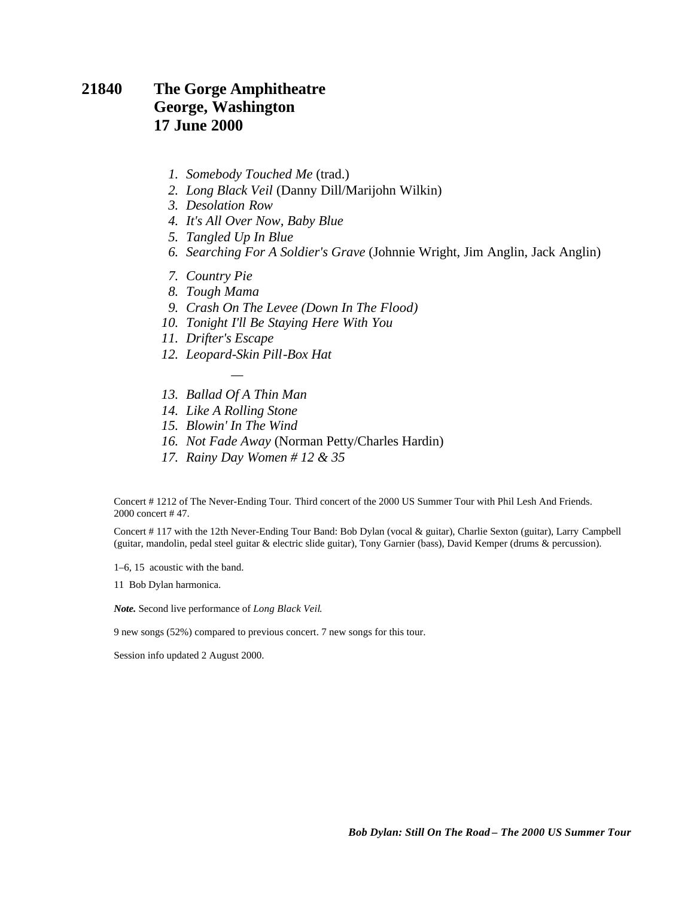#### **21840 The Gorge Amphitheatre George, Washington 17 June 2000**

- *1. Somebody Touched Me* (trad.)
- *2. Long Black Veil* (Danny Dill/Marijohn Wilkin)
- *3. Desolation Row*
- *4. It's All Over Now, Baby Blue*
- *5. Tangled Up In Blue*
- *6. Searching For A Soldier's Grave* (Johnnie Wright, Jim Anglin, Jack Anglin)
- *7. Country Pie*
- *8. Tough Mama*
- *9. Crash On The Levee (Down In The Flood)*
- *10. Tonight I'll Be Staying Here With You*
- *11. Drifter's Escape*
- *12. Leopard-Skin Pill-Box Hat*
- *— 13. Ballad Of A Thin Man*
- *14. Like A Rolling Stone*
- *15. Blowin' In The Wind*
- *16. Not Fade Away* (Norman Petty/Charles Hardin)
- *17. Rainy Day Women # 12 & 35*

Concert # 1212 of The Never-Ending Tour. Third concert of the 2000 US Summer Tour with Phil Lesh And Friends. 2000 concert # 47.

Concert # 117 with the 12th Never-Ending Tour Band: Bob Dylan (vocal & guitar), Charlie Sexton (guitar), Larry Campbell (guitar, mandolin, pedal steel guitar & electric slide guitar), Tony Garnier (bass), David Kemper (drums & percussion).

1–6, 15 acoustic with the band.

11 Bob Dylan harmonica.

*Note.* Second live performance of *Long Black Veil*.

9 new songs (52%) compared to previous concert. 7 new songs for this tour.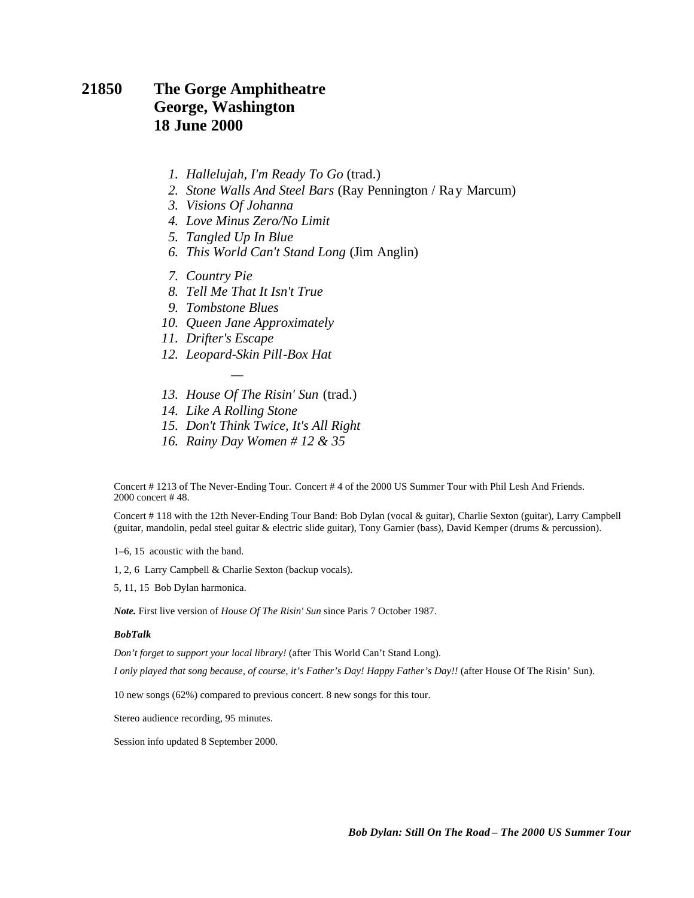#### **21850 The Gorge Amphitheatre George, Washington 18 June 2000**

- *1. Hallelujah, I'm Ready To Go* (trad.)
- *2. Stone Walls And Steel Bars* (Ray Pennington / Ray Marcum)
- *3. Visions Of Johanna*
- *4. Love Minus Zero/No Limit*
- *5. Tangled Up In Blue*
- *6. This World Can't Stand Long* (Jim Anglin)
- *7. Country Pie*
- *8. Tell Me That It Isn't True*
- *9. Tombstone Blues*
- *10. Queen Jane Approximately*
- *11. Drifter's Escape*
- *12. Leopard-Skin Pill-Box Hat*

*—*

- *13. House Of The Risin' Sun* (trad.)
- *14. Like A Rolling Stone*
- *15. Don't Think Twice, It's All Right*
- *16. Rainy Day Women # 12 & 35*

Concert # 1213 of The Never-Ending Tour. Concert # 4 of the 2000 US Summer Tour with Phil Lesh And Friends. 2000 concert # 48.

Concert # 118 with the 12th Never-Ending Tour Band: Bob Dylan (vocal & guitar), Charlie Sexton (guitar), Larry Campbell (guitar, mandolin, pedal steel guitar & electric slide guitar), Tony Garnier (bass), David Kemper (drums & percussion).

1–6, 15 acoustic with the band.

1, 2, 6 Larry Campbell & Charlie Sexton (backup vocals).

5, 11, 15 Bob Dylan harmonica.

*Note.* First live version of *House Of The Risin' Sun* since Paris 7 October 1987.

#### *BobTalk*

*Don't forget to support your local library!* (after This World Can't Stand Long).

*I only played that song because, of course, it's Father's Day! Happy Father's Day!!* (after House Of The Risin' Sun).

10 new songs (62%) compared to previous concert. 8 new songs for this tour.

Stereo audience recording, 95 minutes.

Session info updated 8 September 2000.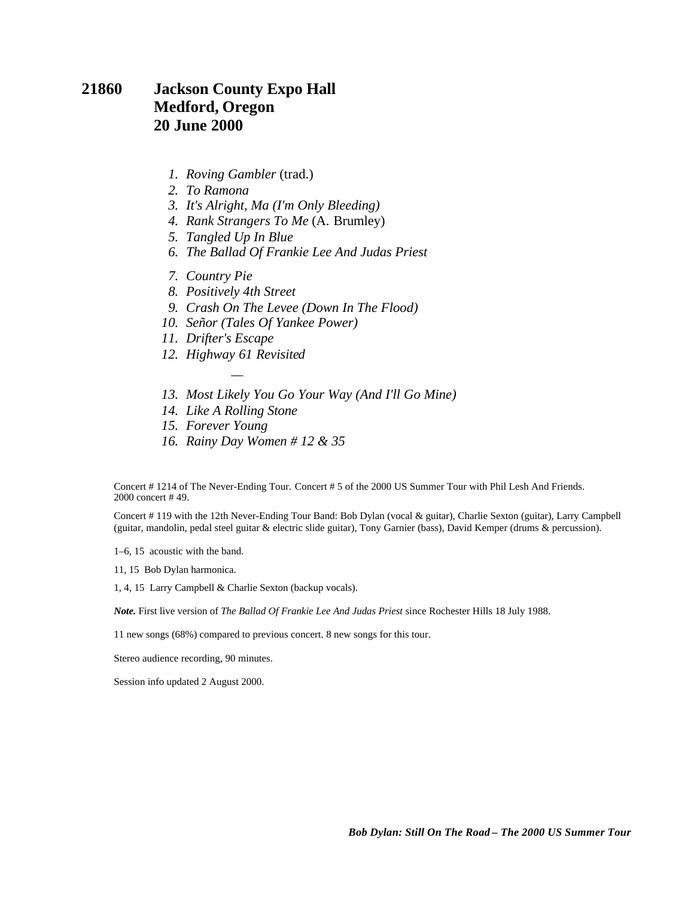#### **21860 Jackson County Expo Hall Medford, Oregon 20 June 2000**

- *1. Roving Gambler* (trad.)
- *2. To Ramona*
- *3. It's Alright, Ma (I'm Only Bleeding)*
- *4. Rank Strangers To Me* (A. Brumley)
- *5. Tangled Up In Blue*
- *6. The Ballad Of Frankie Lee And Judas Priest*
- *7. Country Pie*
- *8. Positively 4th Street*
- *9. Crash On The Levee (Down In The Flood)*
- *10. Señor (Tales Of Yankee Power)*
- *11. Drifter's Escape*
- *12. Highway 61 Revisited —*
- *13. Most Likely You Go Your Way (And I'll Go Mine)*
- *14. Like A Rolling Stone*
- *15. Forever Young*
- *16. Rainy Day Women # 12 & 35*

Concert # 1214 of The Never-Ending Tour. Concert # 5 of the 2000 US Summer Tour with Phil Lesh And Friends. 2000 concert # 49.

Concert # 119 with the 12th Never-Ending Tour Band: Bob Dylan (vocal & guitar), Charlie Sexton (guitar), Larry Campbell (guitar, mandolin, pedal steel guitar & electric slide guitar), Tony Garnier (bass), David Kemper (drums & percussion).

1–6, 15 acoustic with the band.

11, 15 Bob Dylan harmonica.

1, 4, 15 Larry Campbell & Charlie Sexton (backup vocals).

*Note.* First live version of *The Ballad Of Frankie Lee And Judas Priest* since Rochester Hills 18 July 1988.

11 new songs (68%) compared to previous concert. 8 new songs for this tour.

Stereo audience recording, 90 minutes.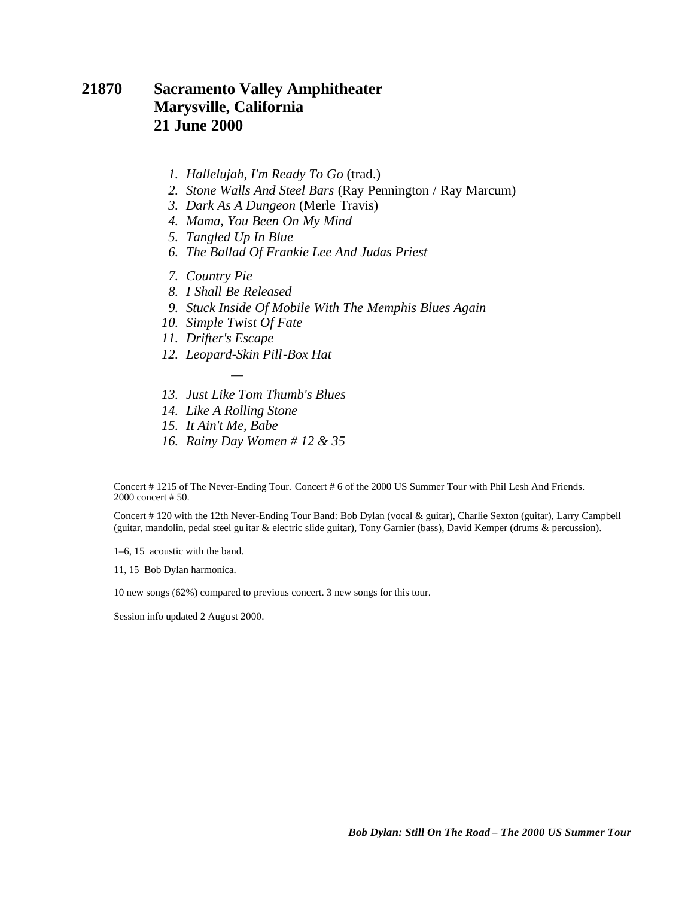#### **21870 Sacramento Valley Amphitheater Marysville, California 21 June 2000**

- *1. Hallelujah, I'm Ready To Go* (trad.)
- *2. Stone Walls And Steel Bars* (Ray Pennington / Ray Marcum)
- *3. Dark As A Dungeon* (Merle Travis)
- *4. Mama, You Been On My Mind*
- *5. Tangled Up In Blue*
- *6. The Ballad Of Frankie Lee And Judas Priest*
- *7. Country Pie*
- *8. I Shall Be Released*
- *9. Stuck Inside Of Mobile With The Memphis Blues Again*
- *10. Simple Twist Of Fate*
- *11. Drifter's Escape*
- *12. Leopard-Skin Pill-Box Hat*
- *13. Just Like Tom Thumb's Blues*
- *14. Like A Rolling Stone*

*—*

- *15. It Ain't Me, Babe*
- *16. Rainy Day Women # 12 & 35*

Concert # 1215 of The Never-Ending Tour. Concert # 6 of the 2000 US Summer Tour with Phil Lesh And Friends. 2000 concert # 50.

Concert # 120 with the 12th Never-Ending Tour Band: Bob Dylan (vocal & guitar), Charlie Sexton (guitar), Larry Campbell (guitar, mandolin, pedal steel gu itar & electric slide guitar), Tony Garnier (bass), David Kemper (drums & percussion).

1–6, 15 acoustic with the band.

11, 15 Bob Dylan harmonica.

10 new songs (62%) compared to previous concert. 3 new songs for this tour.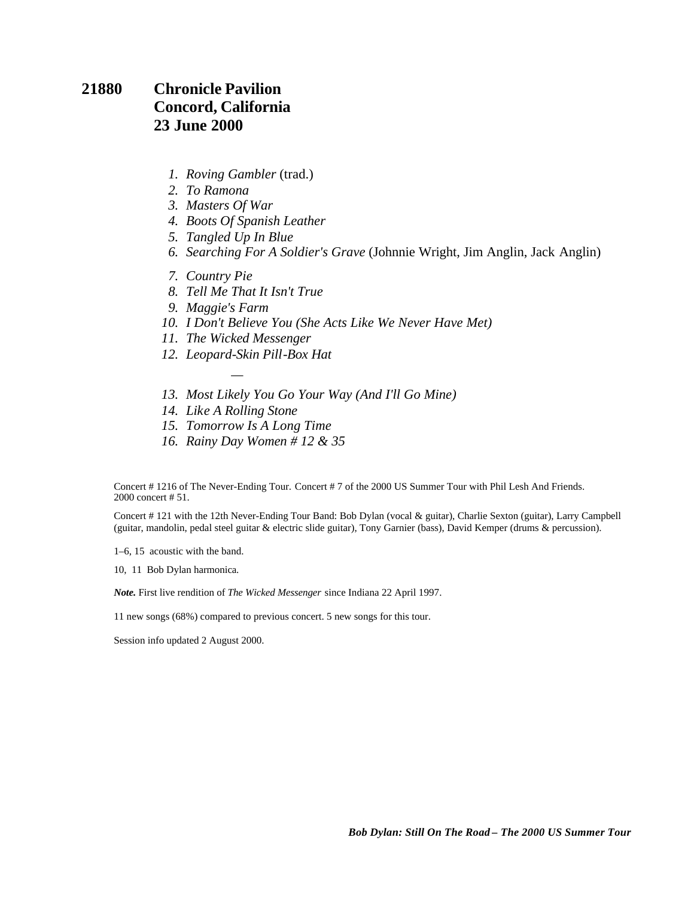### **21880 Chronicle Pavilion Concord, California 23 June 2000**

- *1. Roving Gambler* (trad.)
- *2. To Ramona*
- *3. Masters Of War*
- *4. Boots Of Spanish Leather*
- *5. Tangled Up In Blue*
- *6. Searching For A Soldier's Grave* (Johnnie Wright, Jim Anglin, Jack Anglin)
- *7. Country Pie*
- *8. Tell Me That It Isn't True*
- *9. Maggie's Farm*
- *10. I Don't Believe You (She Acts Like We Never Have Met)*
- *11. The Wicked Messenger*

*—*

- *12. Leopard-Skin Pill-Box Hat*
- *13. Most Likely You Go Your Way (And I'll Go Mine)*
- *14. Like A Rolling Stone*
- *15. Tomorrow Is A Long Time*
- *16. Rainy Day Women # 12 & 35*

Concert # 1216 of The Never-Ending Tour. Concert # 7 of the 2000 US Summer Tour with Phil Lesh And Friends. 2000 concert # 51.

Concert # 121 with the 12th Never-Ending Tour Band: Bob Dylan (vocal & guitar), Charlie Sexton (guitar), Larry Campbell (guitar, mandolin, pedal steel guitar & electric slide guitar), Tony Garnier (bass), David Kemper (drums & percussion).

1–6, 15 acoustic with the band.

10, 11 Bob Dylan harmonica.

*Note.* First live rendition of *The Wicked Messenger* since Indiana 22 April 1997.

11 new songs (68%) compared to previous concert. 5 new songs for this tour.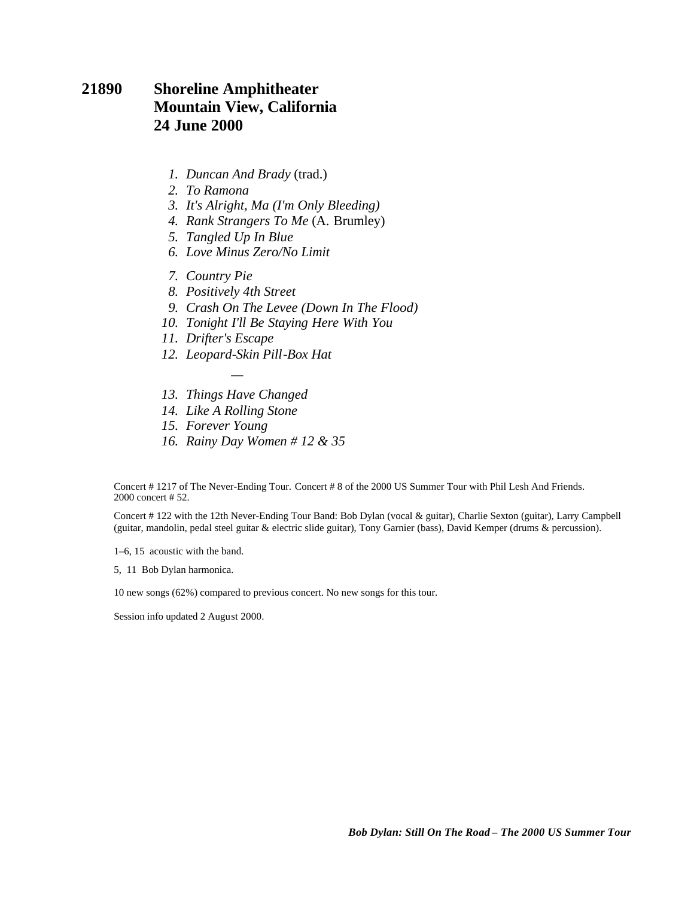#### **21890 Shoreline Amphitheater Mountain View, California 24 June 2000**

- *1. Duncan And Brady* (trad.)
- *2. To Ramona*
- *3. It's Alright, Ma (I'm Only Bleeding)*
- *4. Rank Strangers To Me* (A. Brumley)
- *5. Tangled Up In Blue*
- *6. Love Minus Zero/No Limit*
- *7. Country Pie*
- *8. Positively 4th Street*
- *9. Crash On The Levee (Down In The Flood)*
- *10. Tonight I'll Be Staying Here With You*
- *11. Drifter's Escape*
- *12. Leopard-Skin Pill-Box Hat*
- *— 13. Things Have Changed*
- *14. Like A Rolling Stone*
- *15. Forever Young*
- *16. Rainy Day Women # 12 & 35*

Concert # 1217 of The Never-Ending Tour. Concert # 8 of the 2000 US Summer Tour with Phil Lesh And Friends. 2000 concert # 52.

Concert # 122 with the 12th Never-Ending Tour Band: Bob Dylan (vocal & guitar), Charlie Sexton (guitar), Larry Campbell (guitar, mandolin, pedal steel guitar & electric slide guitar), Tony Garnier (bass), David Kemper (drums & percussion).

1–6, 15 acoustic with the band.

5, 11 Bob Dylan harmonica.

10 new songs (62%) compared to previous concert. No new songs for this tour.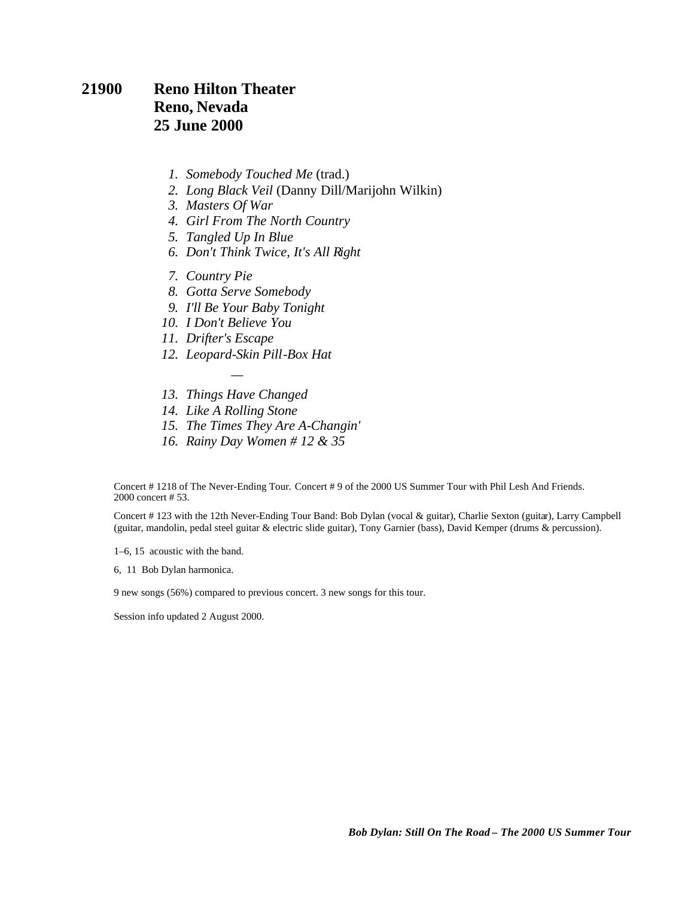#### **21900 Reno Hilton Theater Reno, Nevada 25 June 2000**

- *1. Somebody Touched Me* (trad.)
- *2. Long Black Veil* (Danny Dill/Marijohn Wilkin)
- *3. Masters Of War*
- *4. Girl From The North Country*
- *5. Tangled Up In Blue*
- *6. Don't Think Twice, It's All Right*
- *7. Country Pie*
- *8. Gotta Serve Somebody*
- *9. I'll Be Your Baby Tonight*
- *10. I Don't Believe You*
- *11. Drifter's Escape*
- *12. Leopard-Skin Pill-Box Hat*
- *— 13. Things Have Changed*
- *14. Like A Rolling Stone*
- *15. The Times They Are A-Changin'*
- *16. Rainy Day Women # 12 & 35*

Concert # 1218 of The Never-Ending Tour. Concert # 9 of the 2000 US Summer Tour with Phil Lesh And Friends. 2000 concert # 53.

Concert # 123 with the 12th Never-Ending Tour Band: Bob Dylan (vocal & guitar), Charlie Sexton (guitar), Larry Campbell (guitar, mandolin, pedal steel guitar & electric slide guitar), Tony Garnier (bass), David Kemper (drums & percussion).

1–6, 15 acoustic with the band.

6, 11 Bob Dylan harmonica.

9 new songs (56%) compared to previous concert. 3 new songs for this tour.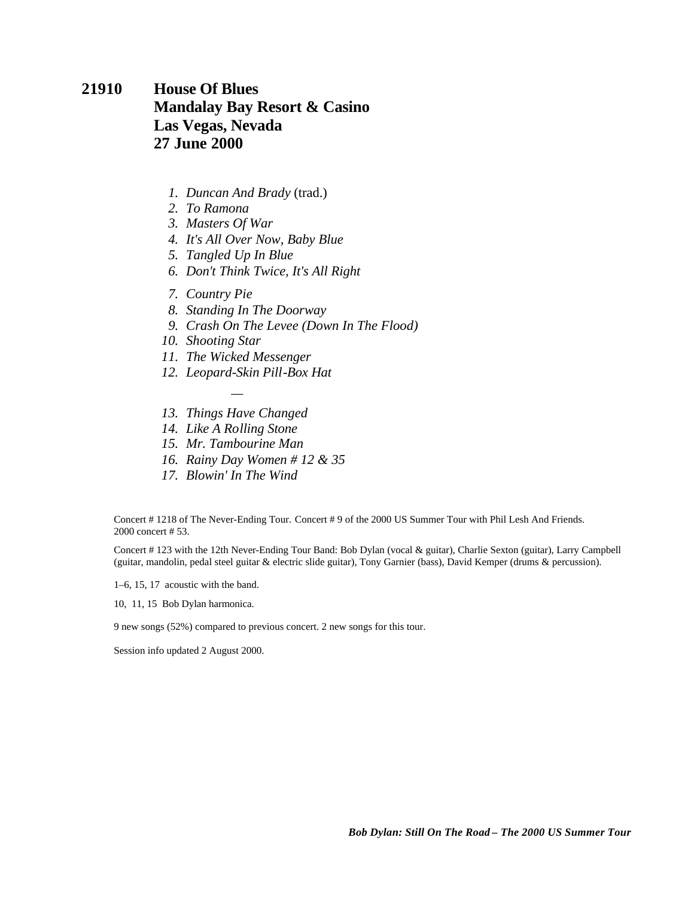### **21910 House Of Blues Mandalay Bay Resort & Casino Las Vegas, Nevada 27 June 2000**

- *1. Duncan And Brady* (trad.)
- *2. To Ramona*
- *3. Masters Of War*
- *4. It's All Over Now, Baby Blue*
- *5. Tangled Up In Blue*
- *6. Don't Think Twice, It's All Right*
- *7. Country Pie*
- *8. Standing In The Doorway*
- *9. Crash On The Levee (Down In The Flood)*
- *10. Shooting Star*
- *11. The Wicked Messenger*
- *12. Leopard-Skin Pill-Box Hat*
- *— 13. Things Have Changed*
- *14. Like A Rolling Stone*
- *15. Mr. Tambourine Man*
- *16. Rainy Day Women # 12 & 35*
- *17. Blowin' In The Wind*

Concert # 1218 of The Never-Ending Tour. Concert # 9 of the 2000 US Summer Tour with Phil Lesh And Friends. 2000 concert # 53.

Concert # 123 with the 12th Never-Ending Tour Band: Bob Dylan (vocal & guitar), Charlie Sexton (guitar), Larry Campbell (guitar, mandolin, pedal steel guitar & electric slide guitar), Tony Garnier (bass), David Kemper (drums & percussion).

1–6, 15, 17 acoustic with the band.

10, 11, 15 Bob Dylan harmonica.

9 new songs (52%) compared to previous concert. 2 new songs for this tour.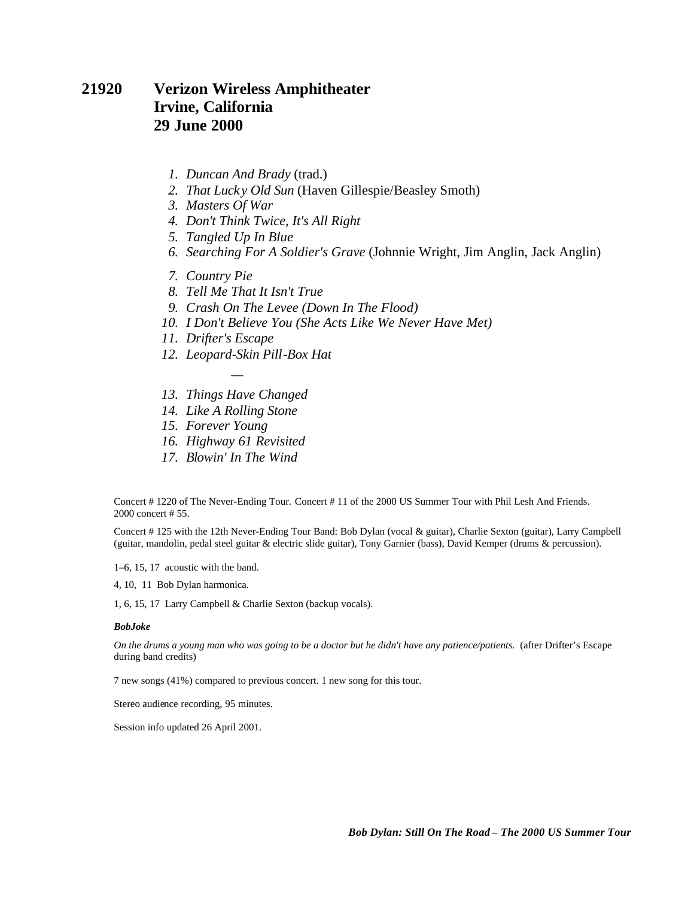#### **21920 Verizon Wireless Amphitheater Irvine, California 29 June 2000**

- *1. Duncan And Brady* (trad.)
- *2. That Luck y Old Sun* (Haven Gillespie/Beasley Smoth)
- *3. Masters Of War*
- *4. Don't Think Twice, It's All Right*
- *5. Tangled Up In Blue*
- *6. Searching For A Soldier's Grave* (Johnnie Wright, Jim Anglin, Jack Anglin)
- *7. Country Pie*
- *8. Tell Me That It Isn't True*
- *9. Crash On The Levee (Down In The Flood)*
- *10. I Don't Believe You (She Acts Like We Never Have Met)*
- *11. Drifter's Escape*
- *12. Leopard-Skin Pill-Box Hat*
- *— 13. Things Have Changed*
- *14. Like A Rolling Stone*
- *15. Forever Young*
- *16. Highway 61 Revisited*
- *17. Blowin' In The Wind*

Concert # 1220 of The Never-Ending Tour. Concert # 11 of the 2000 US Summer Tour with Phil Lesh And Friends. 2000 concert # 55.

Concert # 125 with the 12th Never-Ending Tour Band: Bob Dylan (vocal & guitar), Charlie Sexton (guitar), Larry Campbell (guitar, mandolin, pedal steel guitar & electric slide guitar), Tony Garnier (bass), David Kemper (drums & percussion).

1–6, 15, 17 acoustic with the band.

4, 10, 11 Bob Dylan harmonica.

1, 6, 15, 17 Larry Campbell & Charlie Sexton (backup vocals).

#### *BobJoke*

*On the drums a young man who was going to be a doctor but he didn't have any patience/patients.* (after Drifter's Escape during band credits)

7 new songs (41%) compared to previous concert. 1 new song for this tour.

Stereo audience recording, 95 minutes.

Session info updated 26 April 2001.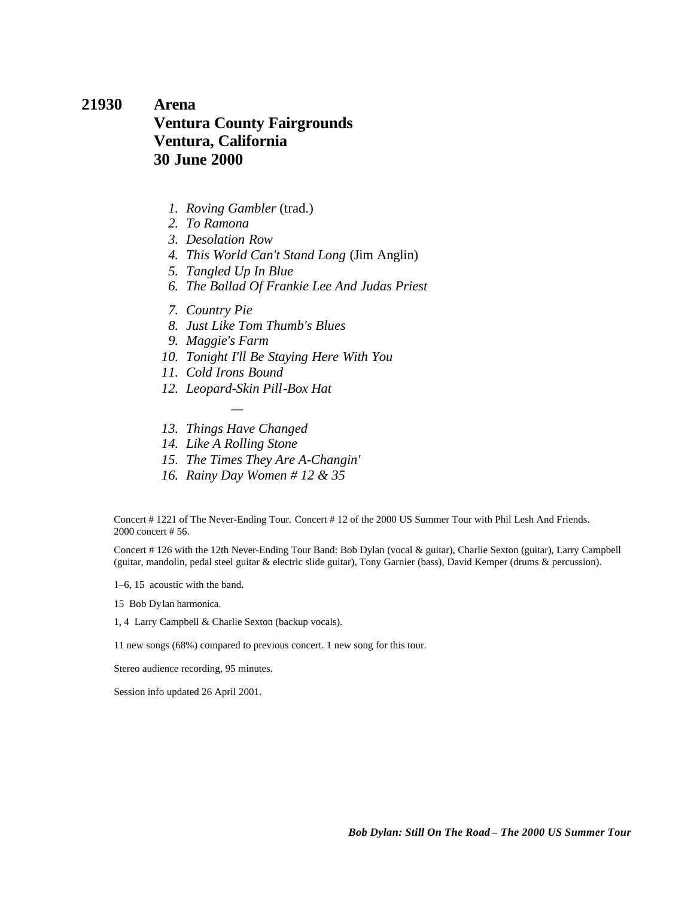### **21930 Arena Ventura County Fairgrounds Ventura, California 30 June 2000**

- *1. Roving Gambler* (trad.)
- *2. To Ramona*
- *3. Desolation Row*
- *4. This World Can't Stand Long* (Jim Anglin)
- *5. Tangled Up In Blue*
- *6. The Ballad Of Frankie Lee And Judas Priest*
- *7. Country Pie*
- *8. Just Like Tom Thumb's Blues*
- *9. Maggie's Farm*
- *10. Tonight I'll Be Staying Here With You*
- *11. Cold Irons Bound*
- *12. Leopard-Skin Pill-Box Hat*
- *— 13. Things Have Changed*
- *14. Like A Rolling Stone*
- *15. The Times They Are A-Changin'*
- *16. Rainy Day Women # 12 & 35*

Concert # 1221 of The Never-Ending Tour. Concert # 12 of the 2000 US Summer Tour with Phil Lesh And Friends. 2000 concert # 56.

Concert # 126 with the 12th Never-Ending Tour Band: Bob Dylan (vocal & guitar), Charlie Sexton (guitar), Larry Campbell (guitar, mandolin, pedal steel guitar & electric slide guitar), Tony Garnier (bass), David Kemper (drums & percussion).

1–6, 15 acoustic with the band.

15 Bob Dylan harmonica.

1, 4 Larry Campbell & Charlie Sexton (backup vocals).

11 new songs (68%) compared to previous concert. 1 new song for this tour.

Stereo audience recording, 95 minutes.

Session info updated 26 April 2001.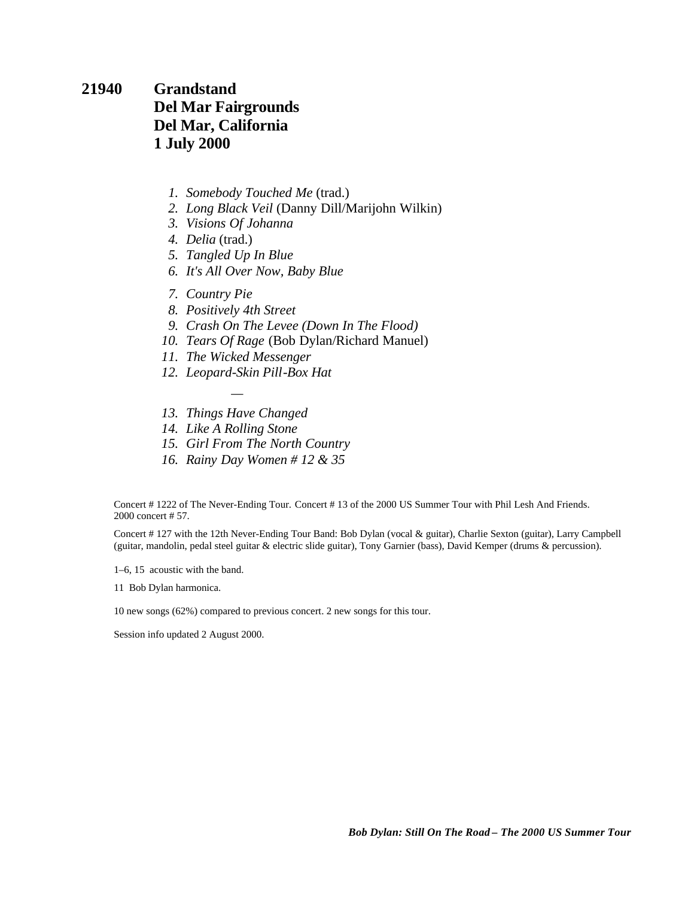**21940 Grandstand Del Mar Fairgrounds Del Mar, California 1 July 2000**

- *1. Somebody Touched Me* (trad.)
- *2. Long Black Veil* (Danny Dill/Marijohn Wilkin)
- *3. Visions Of Johanna*
- *4. Delia* (trad.)
- *5. Tangled Up In Blue*
- *6. It's All Over Now, Baby Blue*
- *7. Country Pie*
- *8. Positively 4th Street*
- *9. Crash On The Levee (Down In The Flood)*
- *10. Tears Of Rage* (Bob Dylan/Richard Manuel)
- *11. The Wicked Messenger*
- *12. Leopard-Skin Pill-Box Hat*
- *— 13. Things Have Changed*
- *14. Like A Rolling Stone*
- *15. Girl From The North Country*
- *16. Rainy Day Women # 12 & 35*

Concert # 1222 of The Never-Ending Tour. Concert # 13 of the 2000 US Summer Tour with Phil Lesh And Friends. 2000 concert # 57.

Concert # 127 with the 12th Never-Ending Tour Band: Bob Dylan (vocal & guitar), Charlie Sexton (guitar), Larry Campbell (guitar, mandolin, pedal steel guitar & electric slide guitar), Tony Garnier (bass), David Kemper (drums & percussion).

1–6, 15 acoustic with the band.

11 Bob Dylan harmonica.

10 new songs (62%) compared to previous concert. 2 new songs for this tour.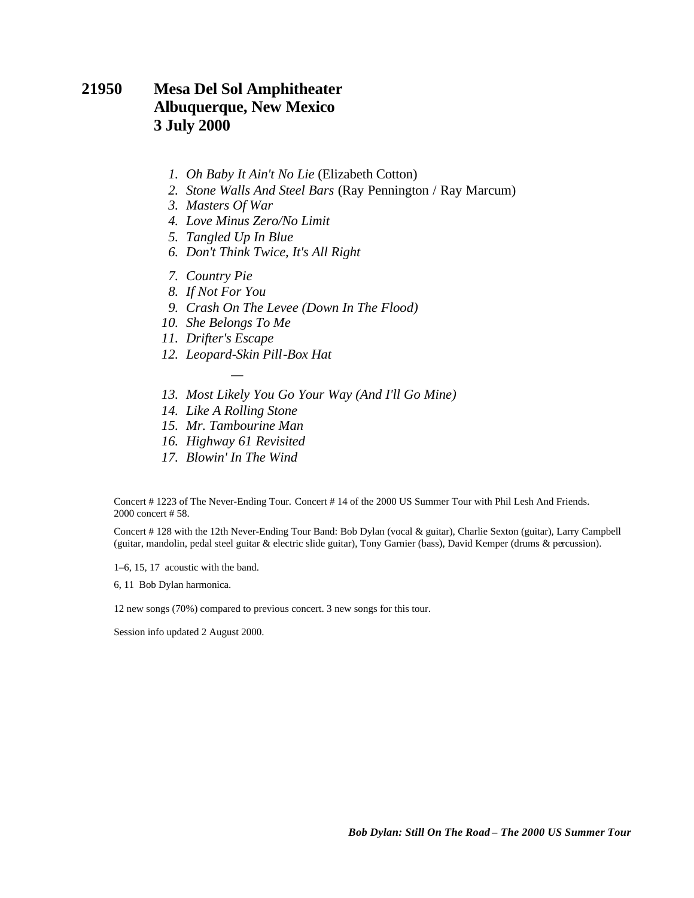### **21950 Mesa Del Sol Amphitheater Albuquerque, New Mexico 3 July 2000**

- *1. Oh Baby It Ain't No Lie* (Elizabeth Cotton)
- *2. Stone Walls And Steel Bars* (Ray Pennington / Ray Marcum)
- *3. Masters Of War*
- *4. Love Minus Zero/No Limit*
- *5. Tangled Up In Blue*
- *6. Don't Think Twice, It's All Right*
- *7. Country Pie*
- *8. If Not For You*
- *9. Crash On The Levee (Down In The Flood)*
- *10. She Belongs To Me*
- *11. Drifter's Escape*
- *12. Leopard-Skin Pill-Box Hat*

*—*

- *13. Most Likely You Go Your Way (And I'll Go Mine)*
- *14. Like A Rolling Stone*
- *15. Mr. Tambourine Man*
- *16. Highway 61 Revisited*
- *17. Blowin' In The Wind*

Concert # 1223 of The Never-Ending Tour. Concert # 14 of the 2000 US Summer Tour with Phil Lesh And Friends. 2000 concert # 58.

Concert # 128 with the 12th Never-Ending Tour Band: Bob Dylan (vocal & guitar), Charlie Sexton (guitar), Larry Campbell (guitar, mandolin, pedal steel guitar & electric slide guitar), Tony Garnier (bass), David Kemper (drums & percussion).

1–6, 15, 17 acoustic with the band.

6, 11 Bob Dylan harmonica.

12 new songs (70%) compared to previous concert. 3 new songs for this tour.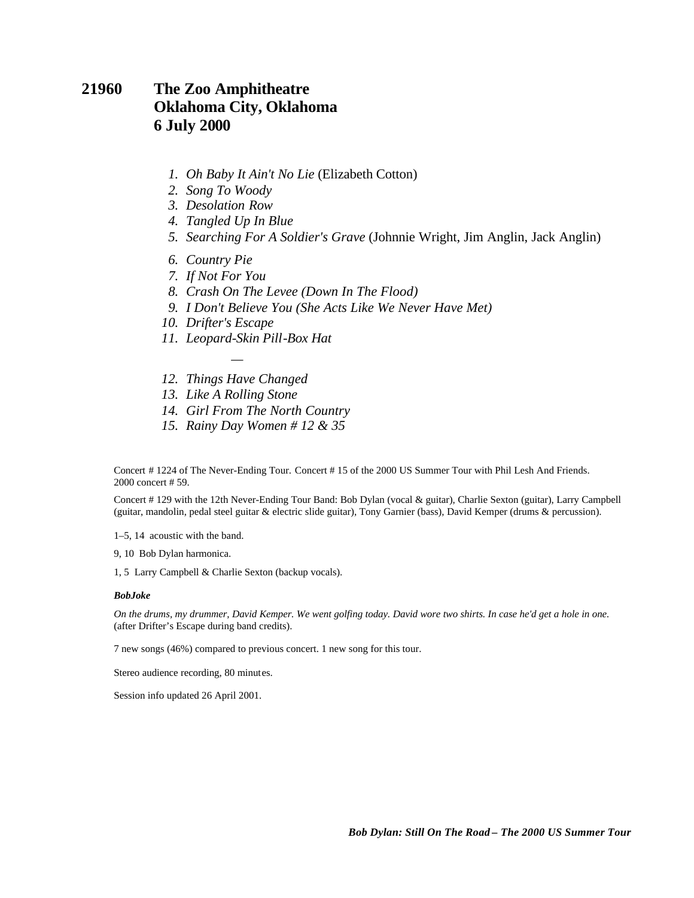#### **21960 The Zoo Amphitheatre Oklahoma City, Oklahoma 6 July 2000**

- *1. Oh Baby It Ain't No Lie* (Elizabeth Cotton)
- *2. Song To Woody*
- *3. Desolation Row*
- *4. Tangled Up In Blue*
- *5. Searching For A Soldier's Grave* (Johnnie Wright, Jim Anglin, Jack Anglin)
- *6. Country Pie*
- *7. If Not For You*
- *8. Crash On The Levee (Down In The Flood)*
- *9. I Don't Believe You (She Acts Like We Never Have Met)*
- *10. Drifter's Escape*
- *11. Leopard-Skin Pill-Box Hat*
- *— 12. Things Have Changed*
- *13. Like A Rolling Stone*
- *14. Girl From The North Country*
- *15. Rainy Day Women # 12 & 35*

Concert # 1224 of The Never-Ending Tour. Concert # 15 of the 2000 US Summer Tour with Phil Lesh And Friends. 2000 concert # 59.

Concert # 129 with the 12th Never-Ending Tour Band: Bob Dylan (vocal & guitar), Charlie Sexton (guitar), Larry Campbell (guitar, mandolin, pedal steel guitar & electric slide guitar), Tony Garnier (bass), David Kemper (drums & percussion).

1–5, 14 acoustic with the band.

9, 10 Bob Dylan harmonica.

1, 5 Larry Campbell & Charlie Sexton (backup vocals).

#### *BobJoke*

*On the drums, my drummer, David Kemper. We went golfing today. David wore two shirts. In case he'd get a hole in one.* (after Drifter's Escape during band credits).

7 new songs (46%) compared to previous concert. 1 new song for this tour.

Stereo audience recording, 80 minutes.

Session info updated 26 April 2001.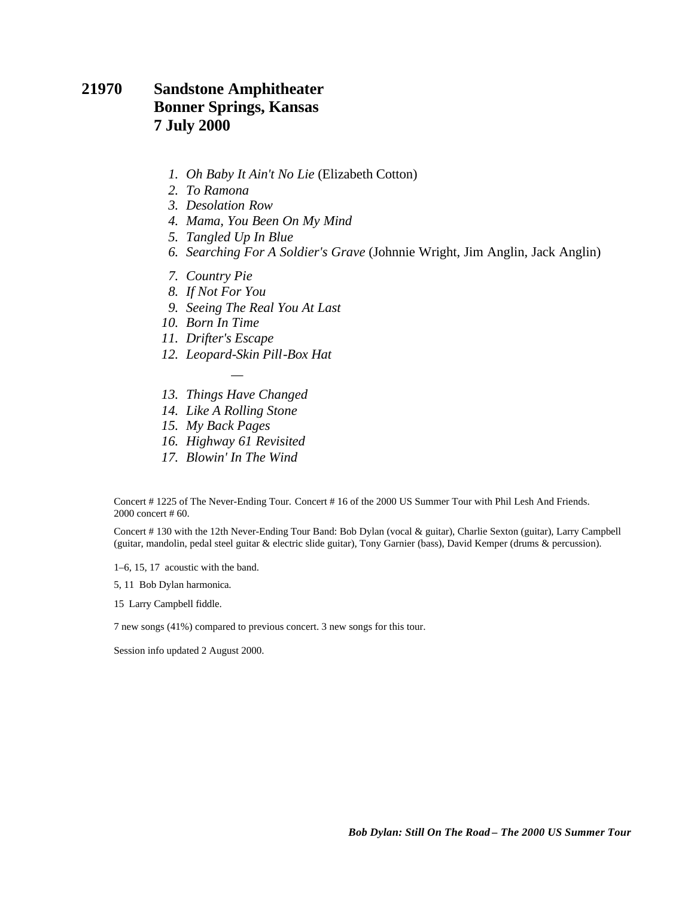### **21970 Sandstone Amphitheater Bonner Springs, Kansas 7 July 2000**

- *1. Oh Baby It Ain't No Lie* (Elizabeth Cotton)
- *2. To Ramona*
- *3. Desolation Row*
- *4. Mama, You Been On My Mind*
- *5. Tangled Up In Blue*
- *6. Searching For A Soldier's Grave* (Johnnie Wright, Jim Anglin, Jack Anglin)
- *7. Country Pie*
- *8. If Not For You*
- *9. Seeing The Real You At Last*
- *10. Born In Time*
- *11. Drifter's Escape*
- *12. Leopard-Skin Pill-Box Hat*
- *— 13. Things Have Changed*
- *14. Like A Rolling Stone*
- *15. My Back Pages*
- *16. Highway 61 Revisited*
- *17. Blowin' In The Wind*

Concert # 1225 of The Never-Ending Tour. Concert # 16 of the 2000 US Summer Tour with Phil Lesh And Friends. 2000 concert # 60.

Concert # 130 with the 12th Never-Ending Tour Band: Bob Dylan (vocal & guitar), Charlie Sexton (guitar), Larry Campbell (guitar, mandolin, pedal steel guitar & electric slide guitar), Tony Garnier (bass), David Kemper (drums & percussion).

1–6, 15, 17 acoustic with the band.

5, 11 Bob Dylan harmonica.

15 Larry Campbell fiddle.

7 new songs (41%) compared to previous concert. 3 new songs for this tour.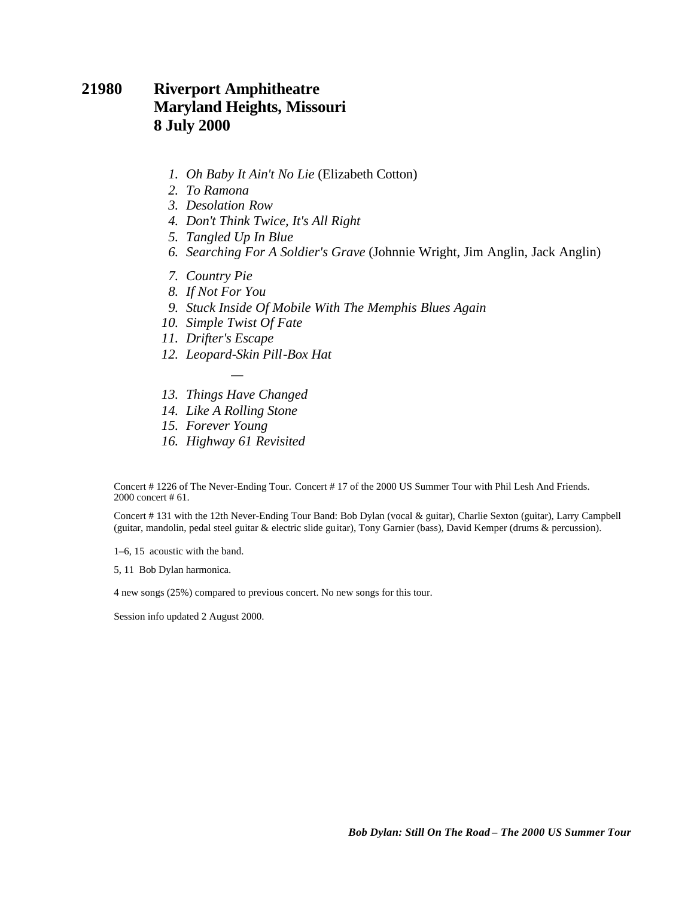### **21980 Riverport Amphitheatre Maryland Heights, Missouri 8 July 2000**

- *1. Oh Baby It Ain't No Lie* (Elizabeth Cotton)
- *2. To Ramona*
- *3. Desolation Row*
- *4. Don't Think Twice, It's All Right*
- *5. Tangled Up In Blue*
- *6. Searching For A Soldier's Grave* (Johnnie Wright, Jim Anglin, Jack Anglin)
- *7. Country Pie*
- *8. If Not For You*
- *9. Stuck Inside Of Mobile With The Memphis Blues Again*
- *10. Simple Twist Of Fate*
- *11. Drifter's Escape*
- *12. Leopard-Skin Pill-Box Hat*
- *— 13. Things Have Changed*
- *14. Like A Rolling Stone*
- *15. Forever Young*
- *16. Highway 61 Revisited*

Concert # 1226 of The Never-Ending Tour. Concert # 17 of the 2000 US Summer Tour with Phil Lesh And Friends. 2000 concert # 61.

Concert # 131 with the 12th Never-Ending Tour Band: Bob Dylan (vocal & guitar), Charlie Sexton (guitar), Larry Campbell (guitar, mandolin, pedal steel guitar & electric slide guitar), Tony Garnier (bass), David Kemper (drums & percussion).

1–6, 15 acoustic with the band.

5, 11 Bob Dylan harmonica.

4 new songs (25%) compared to previous concert. No new songs for this tour.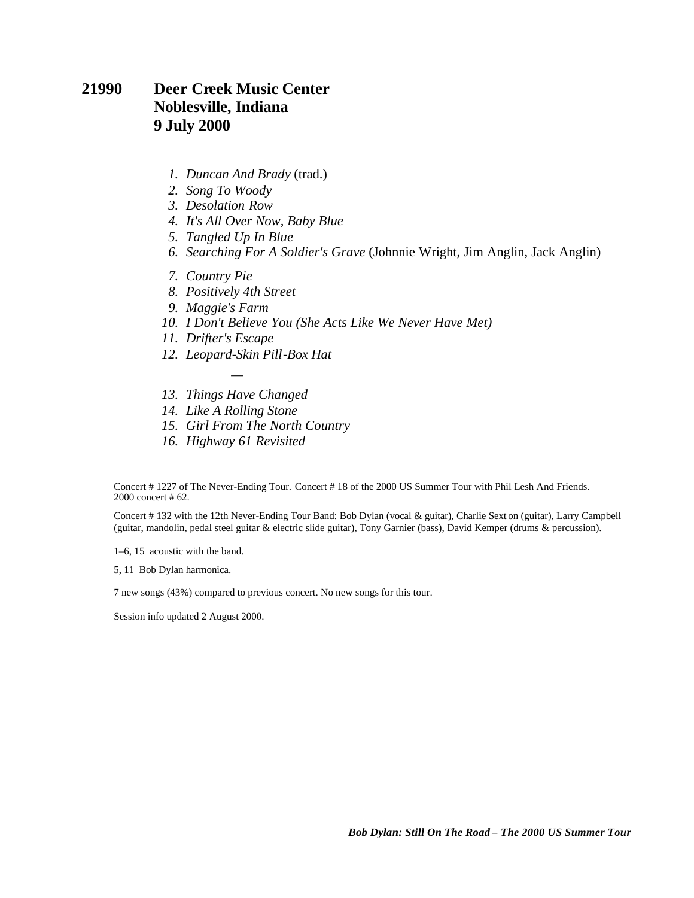#### **21990 Deer Creek Music Center Noblesville, Indiana 9 July 2000**

- *1. Duncan And Brady* (trad.)
- *2. Song To Woody*
- *3. Desolation Row*
- *4. It's All Over Now, Baby Blue*
- *5. Tangled Up In Blue*
- *6. Searching For A Soldier's Grave* (Johnnie Wright, Jim Anglin, Jack Anglin)
- *7. Country Pie*
- *8. Positively 4th Street*
- *9. Maggie's Farm*
- *10. I Don't Believe You (She Acts Like We Never Have Met)*
- *11. Drifter's Escape*
- *12. Leopard-Skin Pill-Box Hat*
- *— 13. Things Have Changed*
- *14. Like A Rolling Stone*
- *15. Girl From The North Country*
- *16. Highway 61 Revisited*

Concert # 1227 of The Never-Ending Tour. Concert # 18 of the 2000 US Summer Tour with Phil Lesh And Friends. 2000 concert # 62.

Concert # 132 with the 12th Never-Ending Tour Band: Bob Dylan (vocal & guitar), Charlie Sext on (guitar), Larry Campbell (guitar, mandolin, pedal steel guitar & electric slide guitar), Tony Garnier (bass), David Kemper (drums & percussion).

1–6, 15 acoustic with the band.

5, 11 Bob Dylan harmonica.

7 new songs (43%) compared to previous concert. No new songs for this tour.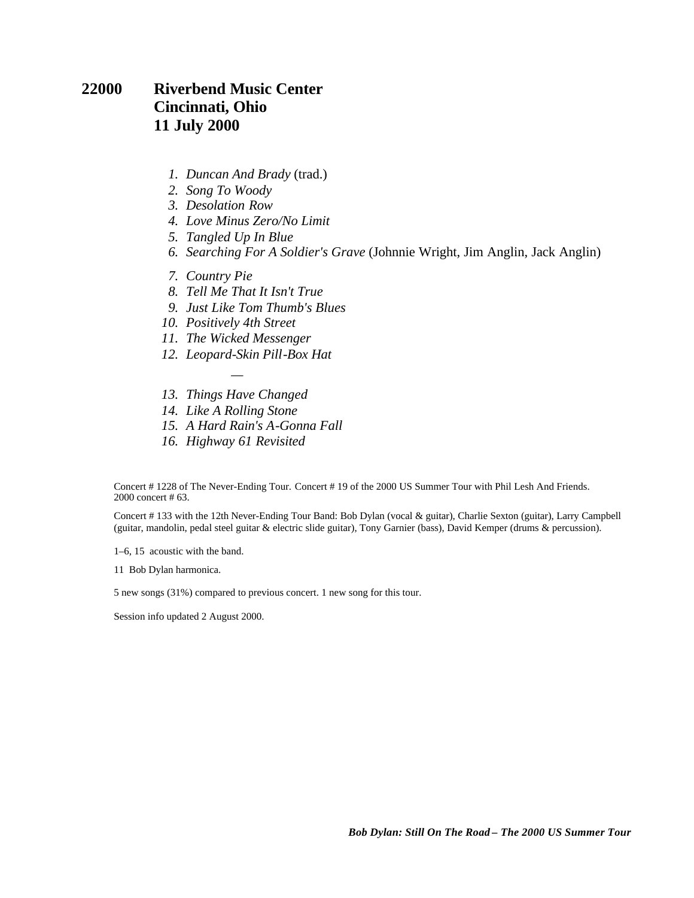#### **22000 Riverbend Music Center Cincinnati, Ohio 11 July 2000**

- *1. Duncan And Brady* (trad.)
- *2. Song To Woody*
- *3. Desolation Row*
- *4. Love Minus Zero/No Limit*
- *5. Tangled Up In Blue*
- *6. Searching For A Soldier's Grave* (Johnnie Wright, Jim Anglin, Jack Anglin)
- *7. Country Pie*
- *8. Tell Me That It Isn't True*
- *9. Just Like Tom Thumb's Blues*
- *10. Positively 4th Street*
- *11. The Wicked Messenger*
- *12. Leopard-Skin Pill-Box Hat*
- *— 13. Things Have Changed*
- *14. Like A Rolling Stone*
- *15. A Hard Rain's A-Gonna Fall*
- *16. Highway 61 Revisited*

Concert # 1228 of The Never-Ending Tour. Concert # 19 of the 2000 US Summer Tour with Phil Lesh And Friends. 2000 concert # 63.

Concert # 133 with the 12th Never-Ending Tour Band: Bob Dylan (vocal & guitar), Charlie Sexton (guitar), Larry Campbell (guitar, mandolin, pedal steel guitar & electric slide guitar), Tony Garnier (bass), David Kemper (drums & percussion).

1–6, 15 acoustic with the band.

11 Bob Dylan harmonica.

5 new songs (31%) compared to previous concert. 1 new song for this tour.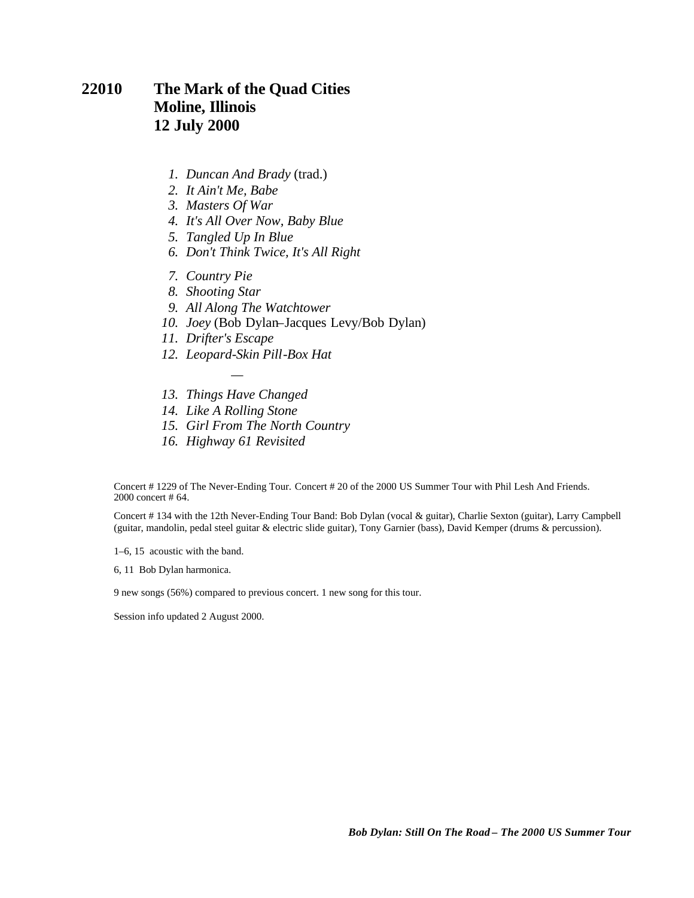### **22010 The Mark of the Quad Cities Moline, Illinois 12 July 2000**

- *1. Duncan And Brady* (trad.)
- *2. It Ain't Me, Babe*
- *3. Masters Of War*
- *4. It's All Over Now, Baby Blue*
- *5. Tangled Up In Blue*
- *6. Don't Think Twice, It's All Right*
- *7. Country Pie*
- *8. Shooting Star*
- *9. All Along The Watchtower*
- *10. Joey* (Bob Dylan–Jacques Levy/Bob Dylan)
- *11. Drifter's Escape*
- *12. Leopard-Skin Pill-Box Hat*
- *— 13. Things Have Changed*
- *14. Like A Rolling Stone*
- *15. Girl From The North Country*
- *16. Highway 61 Revisited*

Concert # 1229 of The Never-Ending Tour. Concert # 20 of the 2000 US Summer Tour with Phil Lesh And Friends. 2000 concert # 64.

Concert # 134 with the 12th Never-Ending Tour Band: Bob Dylan (vocal & guitar), Charlie Sexton (guitar), Larry Campbell (guitar, mandolin, pedal steel guitar & electric slide guitar), Tony Garnier (bass), David Kemper (drums & percussion).

1–6, 15 acoustic with the band.

6, 11 Bob Dylan harmonica.

9 new songs (56%) compared to previous concert. 1 new song for this tour.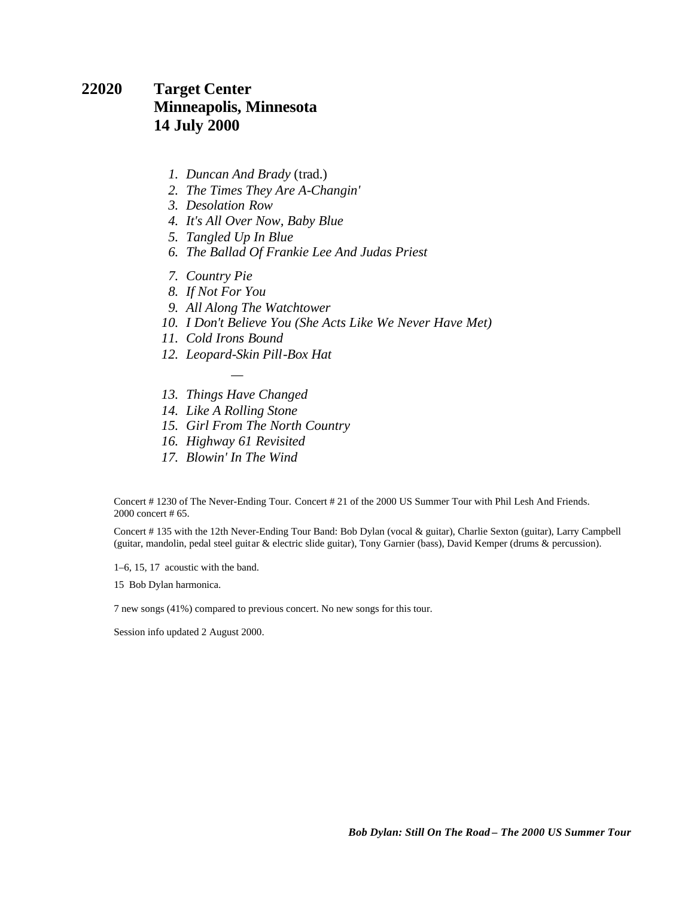#### **22020 Target Center Minneapolis, Minnesota 14 July 2000**

- *1. Duncan And Brady* (trad.)
- *2. The Times They Are A-Changin'*
- *3. Desolation Row*
- *4. It's All Over Now, Baby Blue*
- *5. Tangled Up In Blue*
- *6. The Ballad Of Frankie Lee And Judas Priest*
- *7. Country Pie*
- *8. If Not For You*
- *9. All Along The Watchtower*
- *10. I Don't Believe You (She Acts Like We Never Have Met)*
- *11. Cold Irons Bound*
- *12. Leopard-Skin Pill-Box Hat*
- *— 13. Things Have Changed*
- *14. Like A Rolling Stone*
- *15. Girl From The North Country*
- *16. Highway 61 Revisited*
- *17. Blowin' In The Wind*

Concert # 1230 of The Never-Ending Tour. Concert # 21 of the 2000 US Summer Tour with Phil Lesh And Friends. 2000 concert # 65.

Concert # 135 with the 12th Never-Ending Tour Band: Bob Dylan (vocal & guitar), Charlie Sexton (guitar), Larry Campbell (guitar, mandolin, pedal steel guitar & electric slide guitar), Tony Garnier (bass), David Kemper (drums & percussion).

1–6, 15, 17 acoustic with the band.

15 Bob Dylan harmonica.

7 new songs (41%) compared to previous concert. No new songs for this tour.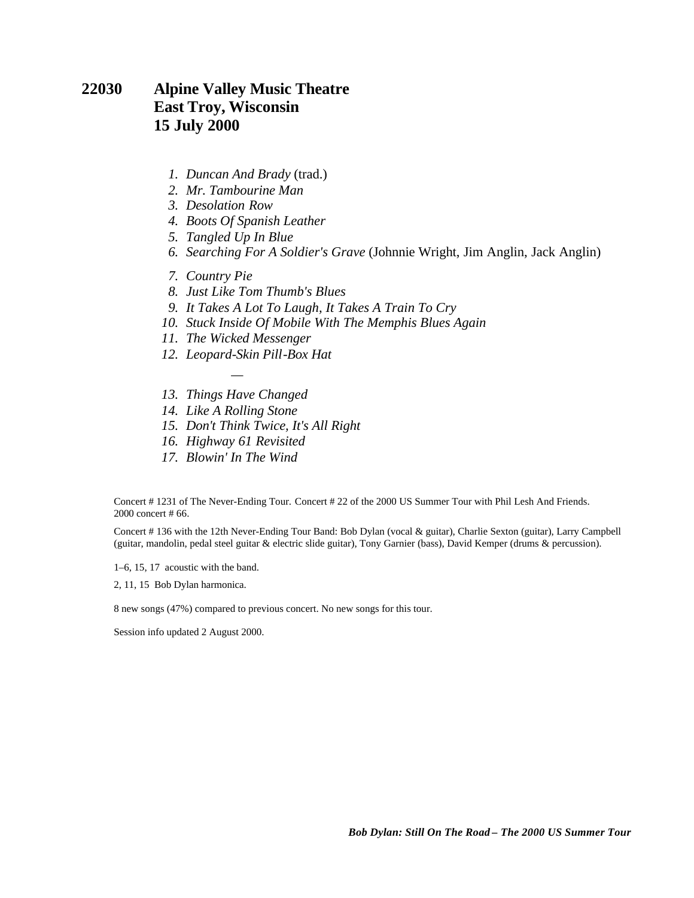### **22030 Alpine Valley Music Theatre East Troy, Wisconsin 15 July 2000**

- *1. Duncan And Brady* (trad.)
- *2. Mr. Tambourine Man*
- *3. Desolation Row*
- *4. Boots Of Spanish Leather*
- *5. Tangled Up In Blue*
- *6. Searching For A Soldier's Grave* (Johnnie Wright, Jim Anglin, Jack Anglin)
- *7. Country Pie*
- *8. Just Like Tom Thumb's Blues*
- *9. It Takes A Lot To Laugh, It Takes A Train To Cry*
- *10. Stuck Inside Of Mobile With The Memphis Blues Again*
- *11. The Wicked Messenger*
- *12. Leopard-Skin Pill-Box Hat*
- *— 13. Things Have Changed*
- *14. Like A Rolling Stone*
- *15. Don't Think Twice, It's All Right*
- *16. Highway 61 Revisited*
- *17. Blowin' In The Wind*

Concert # 1231 of The Never-Ending Tour. Concert # 22 of the 2000 US Summer Tour with Phil Lesh And Friends. 2000 concert # 66.

Concert # 136 with the 12th Never-Ending Tour Band: Bob Dylan (vocal & guitar), Charlie Sexton (guitar), Larry Campbell (guitar, mandolin, pedal steel guitar & electric slide guitar), Tony Garnier (bass), David Kemper (drums & percussion).

1–6, 15, 17 acoustic with the band.

2, 11, 15 Bob Dylan harmonica.

8 new songs (47%) compared to previous concert. No new songs for this tour.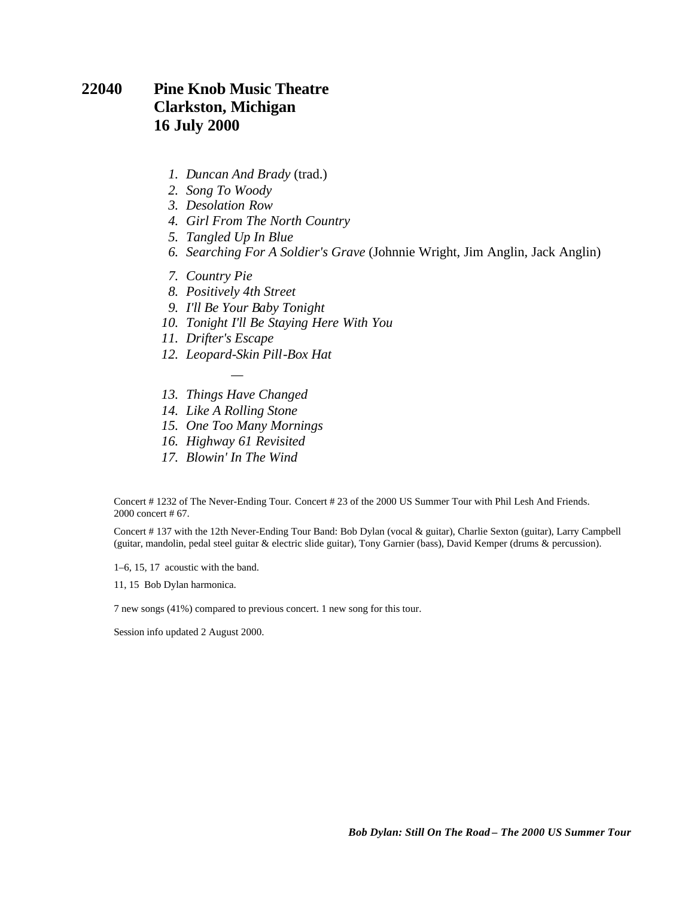### **22040 Pine Knob Music Theatre Clarkston, Michigan 16 July 2000**

- *1. Duncan And Brady* (trad.)
- *2. Song To Woody*
- *3. Desolation Row*
- *4. Girl From The North Country*
- *5. Tangled Up In Blue*
- *6. Searching For A Soldier's Grave* (Johnnie Wright, Jim Anglin, Jack Anglin)
- *7. Country Pie*
- *8. Positively 4th Street*
- *9. I'll Be Your Baby Tonight*
- *10. Tonight I'll Be Staying Here With You*
- *11. Drifter's Escape*
- *12. Leopard-Skin Pill-Box Hat*
- *— 13. Things Have Changed*
- *14. Like A Rolling Stone*
- *15. One Too Many Mornings*
- *16. Highway 61 Revisited*
- *17. Blowin' In The Wind*

Concert # 1232 of The Never-Ending Tour. Concert # 23 of the 2000 US Summer Tour with Phil Lesh And Friends. 2000 concert # 67.

Concert # 137 with the 12th Never-Ending Tour Band: Bob Dylan (vocal & guitar), Charlie Sexton (guitar), Larry Campbell (guitar, mandolin, pedal steel guitar & electric slide guitar), Tony Garnier (bass), David Kemper (drums & percussion).

1–6, 15, 17 acoustic with the band.

11, 15 Bob Dylan harmonica.

7 new songs (41%) compared to previous concert. 1 new song for this tour.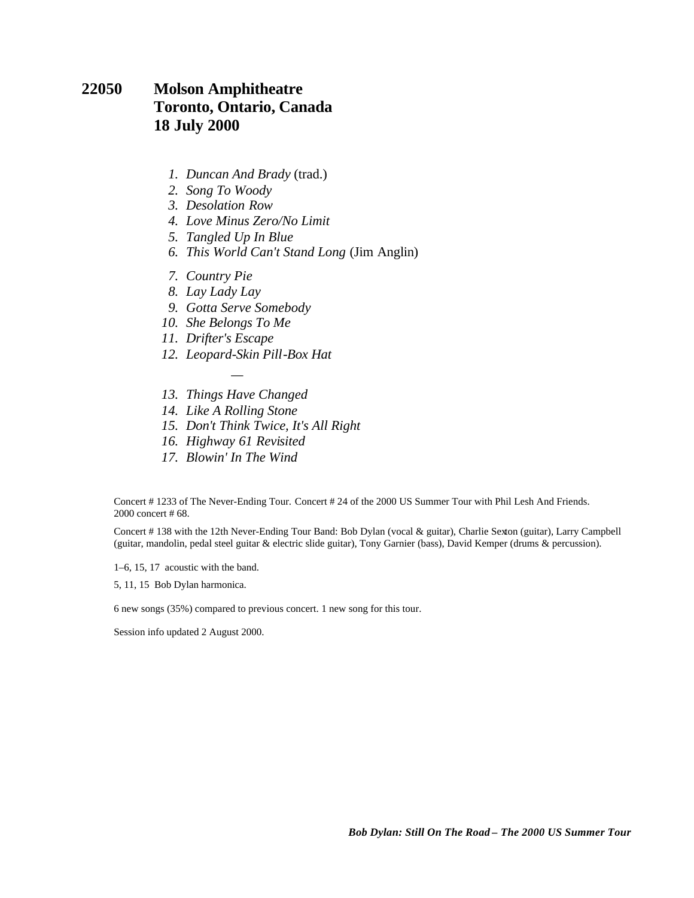### **22050 Molson Amphitheatre Toronto, Ontario, Canada 18 July 2000**

- *1. Duncan And Brady* (trad.)
- *2. Song To Woody*
- *3. Desolation Row*
- *4. Love Minus Zero/No Limit*
- *5. Tangled Up In Blue*
- *6. This World Can't Stand Long* (Jim Anglin)
- *7. Country Pie*
- *8. Lay Lady Lay*
- *9. Gotta Serve Somebody*
- *10. She Belongs To Me*
- *11. Drifter's Escape*
- *12. Leopard-Skin Pill-Box Hat*
- *— 13. Things Have Changed*
- *14. Like A Rolling Stone*
- *15. Don't Think Twice, It's All Right*
- *16. Highway 61 Revisited*
- *17. Blowin' In The Wind*

Concert # 1233 of The Never-Ending Tour. Concert # 24 of the 2000 US Summer Tour with Phil Lesh And Friends. 2000 concert # 68.

Concert # 138 with the 12th Never-Ending Tour Band: Bob Dylan (vocal & guitar), Charlie Sexton (guitar), Larry Campbell (guitar, mandolin, pedal steel guitar & electric slide guitar), Tony Garnier (bass), David Kemper (drums & percussion).

1–6, 15, 17 acoustic with the band.

5, 11, 15 Bob Dylan harmonica.

6 new songs (35%) compared to previous concert. 1 new song for this tour.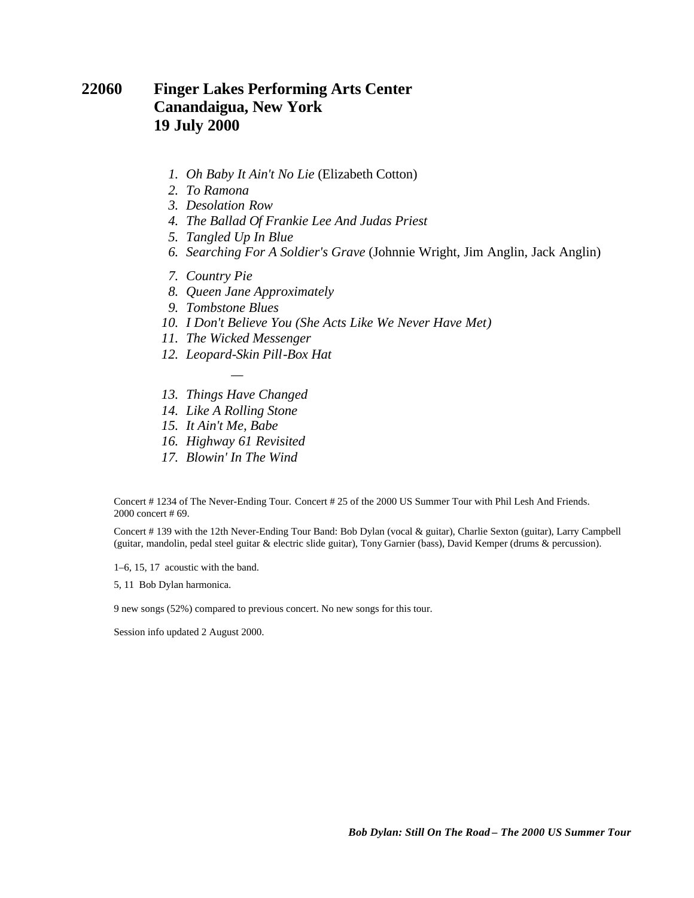### **22060 Finger Lakes Performing Arts Center Canandaigua, New York 19 July 2000**

- *1. Oh Baby It Ain't No Lie* (Elizabeth Cotton)
- *2. To Ramona*
- *3. Desolation Row*
- *4. The Ballad Of Frankie Lee And Judas Priest*
- *5. Tangled Up In Blue*
- *6. Searching For A Soldier's Grave* (Johnnie Wright, Jim Anglin, Jack Anglin)
- *7. Country Pie*
- *8. Queen Jane Approximately*
- *9. Tombstone Blues*
- *10. I Don't Believe You (She Acts Like We Never Have Met)*
- *11. The Wicked Messenger*
- *12. Leopard-Skin Pill-Box Hat*
- *— 13. Things Have Changed*
- *14. Like A Rolling Stone*
- *15. It Ain't Me, Babe*
- *16. Highway 61 Revisited*
- *17. Blowin' In The Wind*

Concert # 1234 of The Never-Ending Tour. Concert # 25 of the 2000 US Summer Tour with Phil Lesh And Friends. 2000 concert # 69.

Concert # 139 with the 12th Never-Ending Tour Band: Bob Dylan (vocal & guitar), Charlie Sexton (guitar), Larry Campbell (guitar, mandolin, pedal steel guitar & electric slide guitar), Tony Garnier (bass), David Kemper (drums & percussion).

1–6, 15, 17 acoustic with the band.

5, 11 Bob Dylan harmonica.

9 new songs (52%) compared to previous concert. No new songs for this tour.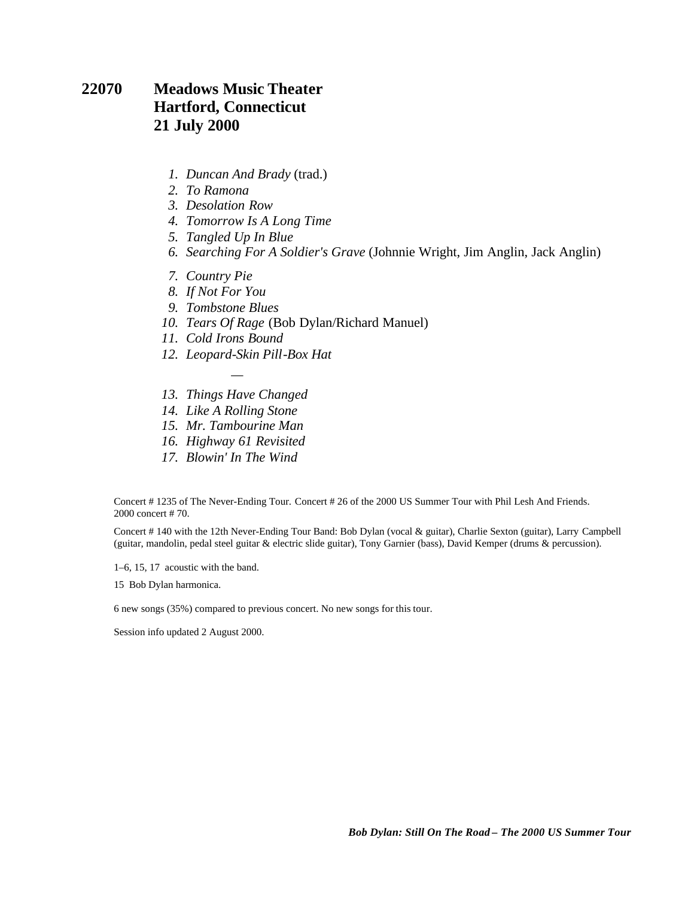#### **22070 Meadows Music Theater Hartford, Connecticut 21 July 2000**

- *1. Duncan And Brady* (trad.)
- *2. To Ramona*
- *3. Desolation Row*
- *4. Tomorrow Is A Long Time*
- *5. Tangled Up In Blue*
- *6. Searching For A Soldier's Grave* (Johnnie Wright, Jim Anglin, Jack Anglin)
- *7. Country Pie*
- *8. If Not For You*
- *9. Tombstone Blues*
- *10. Tears Of Rage* (Bob Dylan/Richard Manuel)
- *11. Cold Irons Bound*
- *12. Leopard-Skin Pill-Box Hat*
- *— 13. Things Have Changed*
- *14. Like A Rolling Stone*
- *15. Mr. Tambourine Man*
- *16. Highway 61 Revisited*
- *17. Blowin' In The Wind*

Concert # 1235 of The Never-Ending Tour. Concert # 26 of the 2000 US Summer Tour with Phil Lesh And Friends. 2000 concert # 70.

Concert # 140 with the 12th Never-Ending Tour Band: Bob Dylan (vocal & guitar), Charlie Sexton (guitar), Larry Campbell (guitar, mandolin, pedal steel guitar & electric slide guitar), Tony Garnier (bass), David Kemper (drums & percussion).

1–6, 15, 17 acoustic with the band.

15 Bob Dylan harmonica.

6 new songs (35%) compared to previous concert. No new songs for this tour.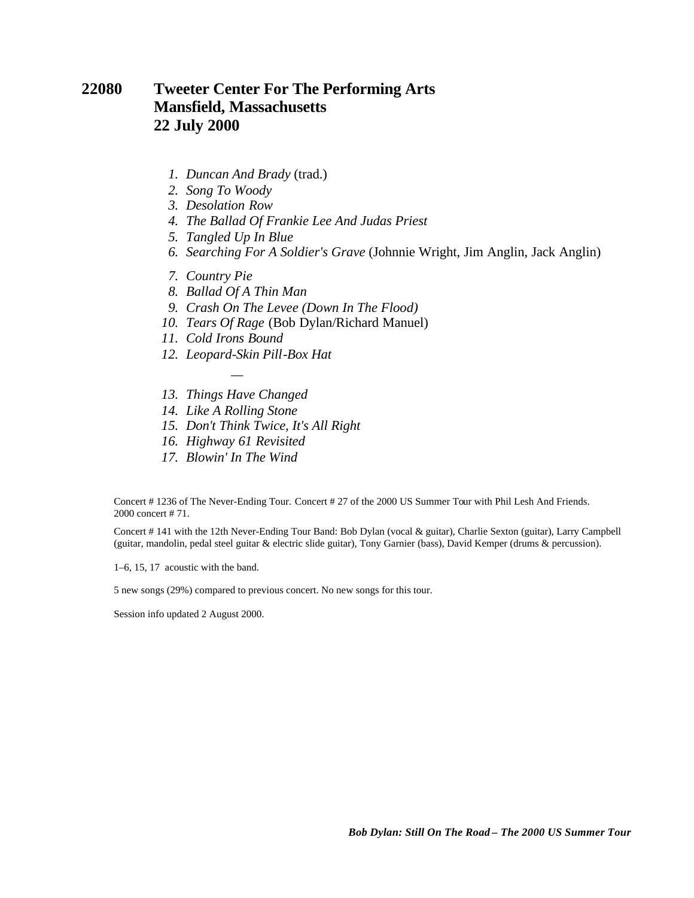### **22080 Tweeter Center For The Performing Arts Mansfield, Massachusetts 22 July 2000**

- *1. Duncan And Brady* (trad.)
- *2. Song To Woody*
- *3. Desolation Row*
- *4. The Ballad Of Frankie Lee And Judas Priest*
- *5. Tangled Up In Blue*
- *6. Searching For A Soldier's Grave* (Johnnie Wright, Jim Anglin, Jack Anglin)
- *7. Country Pie*
- *8. Ballad Of A Thin Man*
- *9. Crash On The Levee (Down In The Flood)*
- *10. Tears Of Rage* (Bob Dylan/Richard Manuel)
- *11. Cold Irons Bound*
- *12. Leopard-Skin Pill-Box Hat*
- *— 13. Things Have Changed*
- *14. Like A Rolling Stone*
- *15. Don't Think Twice, It's All Right*
- *16. Highway 61 Revisited*
- *17. Blowin' In The Wind*

Concert # 1236 of The Never-Ending Tour. Concert # 27 of the 2000 US Summer Tour with Phil Lesh And Friends. 2000 concert # 71.

Concert # 141 with the 12th Never-Ending Tour Band: Bob Dylan (vocal & guitar), Charlie Sexton (guitar), Larry Campbell (guitar, mandolin, pedal steel guitar & electric slide guitar), Tony Garnier (bass), David Kemper (drums & percussion).

1–6, 15, 17 acoustic with the band.

5 new songs (29%) compared to previous concert. No new songs for this tour.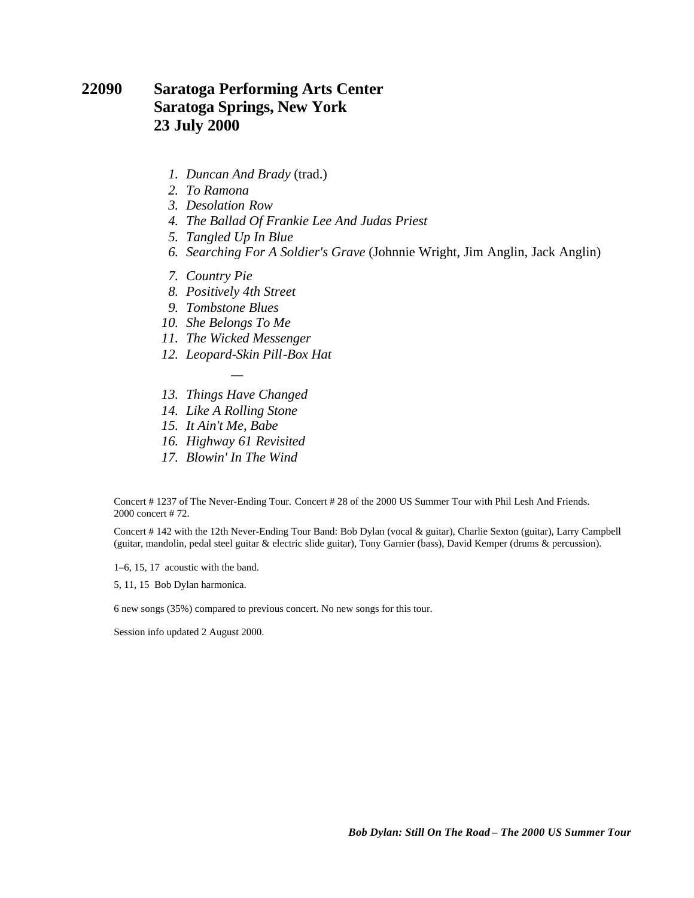### **22090 Saratoga Performing Arts Center Saratoga Springs, New York 23 July 2000**

- *1. Duncan And Brady* (trad.)
- *2. To Ramona*
- *3. Desolation Row*
- *4. The Ballad Of Frankie Lee And Judas Priest*
- *5. Tangled Up In Blue*
- *6. Searching For A Soldier's Grave* (Johnnie Wright, Jim Anglin, Jack Anglin)
- *7. Country Pie*
- *8. Positively 4th Street*
- *9. Tombstone Blues*
- *10. She Belongs To Me*
- *11. The Wicked Messenger*
- *12. Leopard-Skin Pill-Box Hat*
- *— 13. Things Have Changed*
- *14. Like A Rolling Stone*
- *15. It Ain't Me, Babe*
- *16. Highway 61 Revisited*
- *17. Blowin' In The Wind*

Concert # 1237 of The Never-Ending Tour. Concert # 28 of the 2000 US Summer Tour with Phil Lesh And Friends. 2000 concert # 72.

Concert # 142 with the 12th Never-Ending Tour Band: Bob Dylan (vocal & guitar), Charlie Sexton (guitar), Larry Campbell (guitar, mandolin, pedal steel guitar & electric slide guitar), Tony Garnier (bass), David Kemper (drums & percussion).

1–6, 15, 17 acoustic with the band.

5, 11, 15 Bob Dylan harmonica.

6 new songs (35%) compared to previous concert. No new songs for this tour.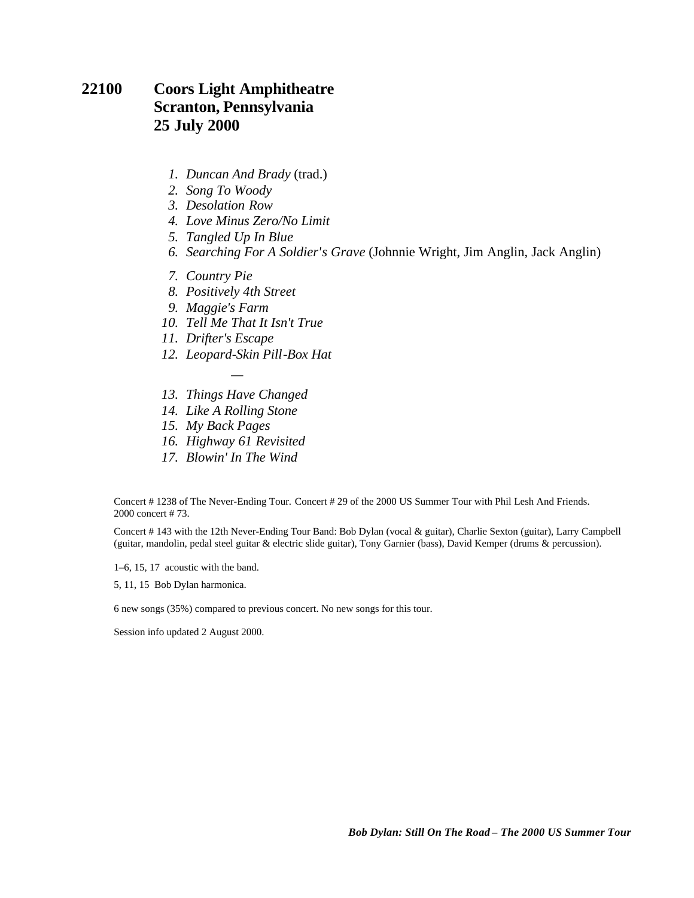### **22100 Coors Light Amphitheatre Scranton, Pennsylvania 25 July 2000**

- *1. Duncan And Brady* (trad.)
- *2. Song To Woody*
- *3. Desolation Row*
- *4. Love Minus Zero/No Limit*
- *5. Tangled Up In Blue*
- *6. Searching For A Soldier's Grave* (Johnnie Wright, Jim Anglin, Jack Anglin)
- *7. Country Pie*
- *8. Positively 4th Street*
- *9. Maggie's Farm*
- *10. Tell Me That It Isn't True*
- *11. Drifter's Escape*
- *12. Leopard-Skin Pill-Box Hat*
- *— 13. Things Have Changed*
- *14. Like A Rolling Stone*
- *15. My Back Pages*
- *16. Highway 61 Revisited*
- *17. Blowin' In The Wind*

Concert # 1238 of The Never-Ending Tour. Concert # 29 of the 2000 US Summer Tour with Phil Lesh And Friends. 2000 concert # 73.

Concert # 143 with the 12th Never-Ending Tour Band: Bob Dylan (vocal & guitar), Charlie Sexton (guitar), Larry Campbell (guitar, mandolin, pedal steel guitar & electric slide guitar), Tony Garnier (bass), David Kemper (drums & percussion).

1–6, 15, 17 acoustic with the band.

5, 11, 15 Bob Dylan harmonica.

6 new songs (35%) compared to previous concert. No new songs for this tour.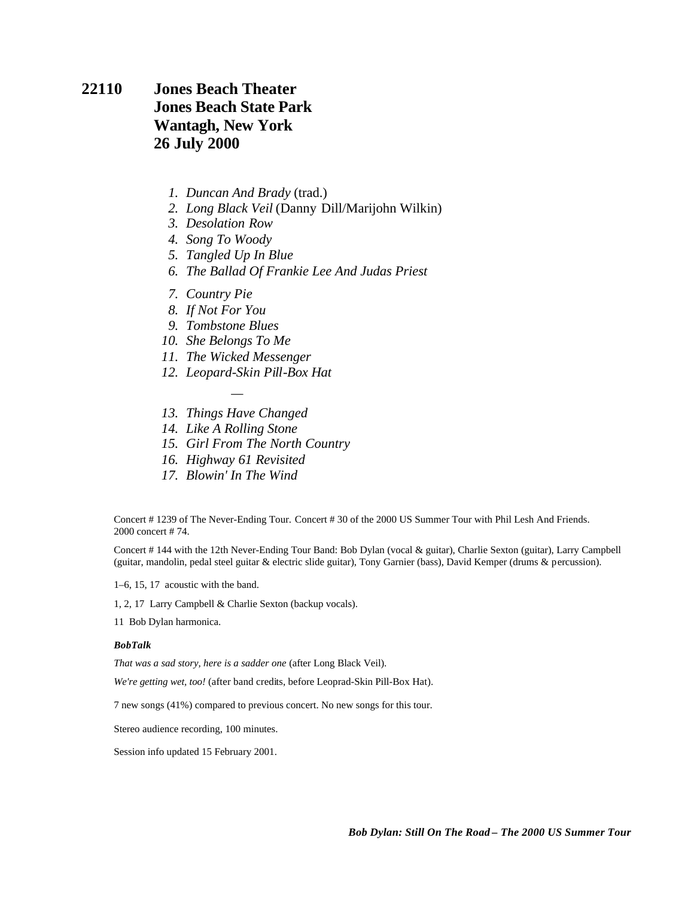### **22110 Jones Beach Theater Jones Beach State Park Wantagh, New York 26 July 2000**

- *1. Duncan And Brady* (trad.)
- *2. Long Black Veil* (Danny Dill/Marijohn Wilkin)
- *3. Desolation Row*
- *4. Song To Woody*
- *5. Tangled Up In Blue*
- *6. The Ballad Of Frankie Lee And Judas Priest*
- *7. Country Pie*
- *8. If Not For You*
- *9. Tombstone Blues*
- *10. She Belongs To Me*
- *11. The Wicked Messenger*
- *12. Leopard-Skin Pill-Box Hat*
- *— 13. Things Have Changed*
- *14. Like A Rolling Stone*
- *15. Girl From The North Country*
- *16. Highway 61 Revisited*
- *17. Blowin' In The Wind*

Concert # 1239 of The Never-Ending Tour. Concert # 30 of the 2000 US Summer Tour with Phil Lesh And Friends. 2000 concert # 74.

Concert # 144 with the 12th Never-Ending Tour Band: Bob Dylan (vocal & guitar), Charlie Sexton (guitar), Larry Campbell (guitar, mandolin, pedal steel guitar & electric slide guitar), Tony Garnier (bass), David Kemper (drums & percussion).

1–6, 15, 17 acoustic with the band.

1, 2, 17 Larry Campbell & Charlie Sexton (backup vocals).

11 Bob Dylan harmonica.

#### *BobTalk*

*That was a sad story, here is a sadder one* (after Long Black Veil).

*We're getting wet, too!* (after band credits, before Leoprad-Skin Pill-Box Hat).

7 new songs (41%) compared to previous concert. No new songs for this tour.

Stereo audience recording, 100 minutes.

Session info updated 15 February 2001.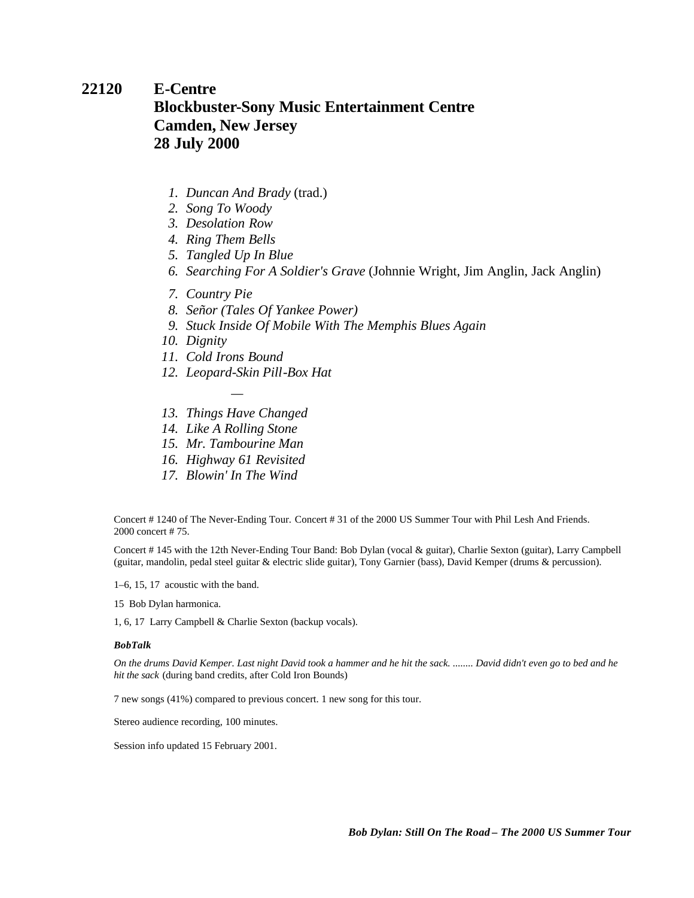## **22120 E-Centre Blockbuster-Sony Music Entertainment Centre Camden, New Jersey 28 July 2000**

- *1. Duncan And Brady* (trad.)
- *2. Song To Woody*
- *3. Desolation Row*
- *4. Ring Them Bells*
- *5. Tangled Up In Blue*
- *6. Searching For A Soldier's Grave* (Johnnie Wright, Jim Anglin, Jack Anglin)
- *7. Country Pie*
- *8. Señor (Tales Of Yankee Power)*
- *9. Stuck Inside Of Mobile With The Memphis Blues Again*
- *10. Dignity*
- *11. Cold Irons Bound*
- *12. Leopard-Skin Pill-Box Hat*
- *— 13. Things Have Changed*
- *14. Like A Rolling Stone*
- *15. Mr. Tambourine Man*
- *16. Highway 61 Revisited*
- *17. Blowin' In The Wind*

Concert # 1240 of The Never-Ending Tour. Concert # 31 of the 2000 US Summer Tour with Phil Lesh And Friends. 2000 concert # 75.

Concert # 145 with the 12th Never-Ending Tour Band: Bob Dylan (vocal & guitar), Charlie Sexton (guitar), Larry Campbell (guitar, mandolin, pedal steel guitar & electric slide guitar), Tony Garnier (bass), David Kemper (drums & percussion).

1–6, 15, 17 acoustic with the band.

15 Bob Dylan harmonica.

1, 6, 17 Larry Campbell & Charlie Sexton (backup vocals).

#### *BobTalk*

*On the drums David Kemper. Last night David took a hammer and he hit the sack. ........ David didn't even go to bed and he hit the sack* (during band credits, after Cold Iron Bounds)

7 new songs (41%) compared to previous concert. 1 new song for this tour.

Stereo audience recording, 100 minutes.

Session info updated 15 February 2001.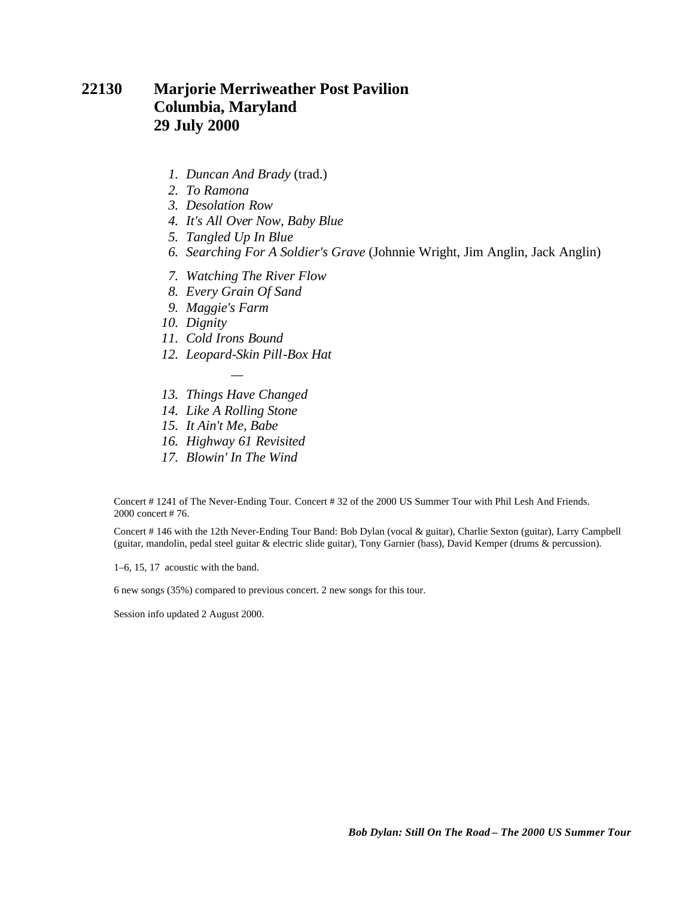### **22130 Marjorie Merriweather Post Pavilion Columbia, Maryland 29 July 2000**

- *1. Duncan And Brady* (trad.)
- *2. To Ramona*
- *3. Desolation Row*
- *4. It's All Over Now, Baby Blue*
- *5. Tangled Up In Blue*
- *6. Searching For A Soldier's Grave* (Johnnie Wright, Jim Anglin, Jack Anglin)
- *7. Watching The River Flow*
- *8. Every Grain Of Sand*
- *9. Maggie's Farm*
- *10. Dignity*
- *11. Cold Irons Bound*
- *12. Leopard-Skin Pill-Box Hat*
- *— 13. Things Have Changed*
- *14. Like A Rolling Stone*
- *15. It Ain't Me, Babe*
- *16. Highway 61 Revisited*
- *17. Blowin' In The Wind*

Concert # 1241 of The Never-Ending Tour. Concert # 32 of the 2000 US Summer Tour with Phil Lesh And Friends. 2000 concert # 76.

Concert # 146 with the 12th Never-Ending Tour Band: Bob Dylan (vocal & guitar), Charlie Sexton (guitar), Larry Campbell (guitar, mandolin, pedal steel guitar & electric slide guitar), Tony Garnier (bass), David Kemper (drums & percussion).

1–6, 15, 17 acoustic with the band.

6 new songs (35%) compared to previous concert. 2 new songs for this tour.